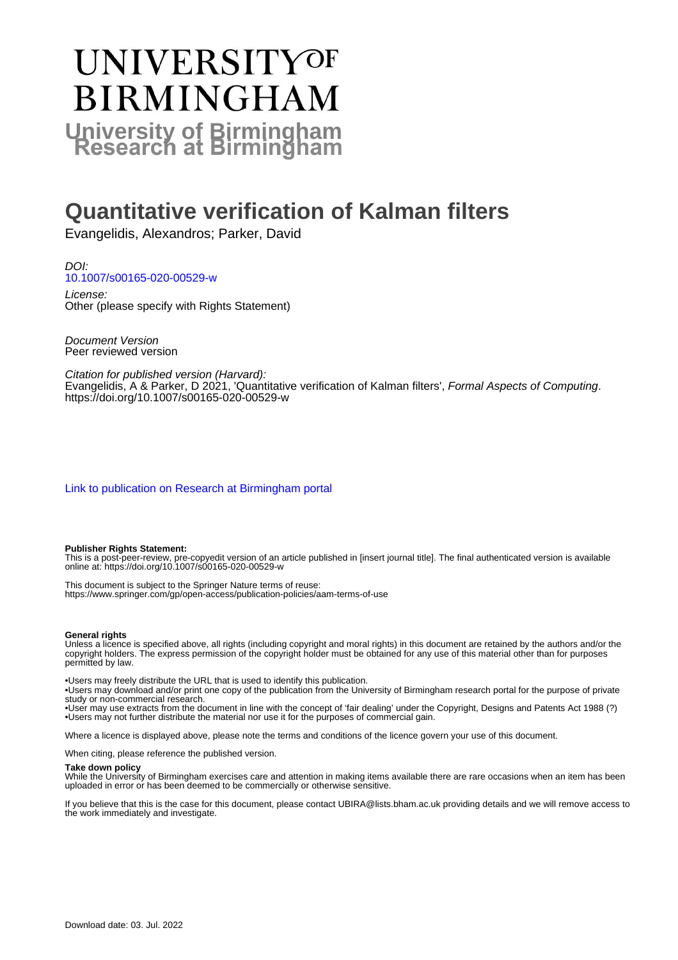# **UNIVERSITYOF BIRMINGHAM University of Birmingham**

### **Quantitative verification of Kalman filters**

Evangelidis, Alexandros; Parker, David

DOI: [10.1007/s00165-020-00529-w](https://doi.org/10.1007/s00165-020-00529-w)

License: Other (please specify with Rights Statement)

Document Version Peer reviewed version

Citation for published version (Harvard): Evangelidis, A & Parker, D 2021, 'Quantitative verification of Kalman filters', Formal Aspects of Computing. <https://doi.org/10.1007/s00165-020-00529-w>

[Link to publication on Research at Birmingham portal](https://birmingham.elsevierpure.com/en/publications/9930fe09-a187-42f3-8b1b-08a6f5faab9f)

#### **Publisher Rights Statement:**

This is a post-peer-review, pre-copyedit version of an article published in [insert journal title]. The final authenticated version is available online at: https://doi.org/10.1007/s00165-020-00529-w

This document is subject to the Springer Nature terms of reuse: https://www.springer.com/gp/open-access/publication-policies/aam-terms-of-use

#### **General rights**

Unless a licence is specified above, all rights (including copyright and moral rights) in this document are retained by the authors and/or the copyright holders. The express permission of the copyright holder must be obtained for any use of this material other than for purposes permitted by law.

• Users may freely distribute the URL that is used to identify this publication.

• Users may download and/or print one copy of the publication from the University of Birmingham research portal for the purpose of private study or non-commercial research.

• User may use extracts from the document in line with the concept of 'fair dealing' under the Copyright, Designs and Patents Act 1988 (?) • Users may not further distribute the material nor use it for the purposes of commercial gain.

Where a licence is displayed above, please note the terms and conditions of the licence govern your use of this document.

When citing, please reference the published version.

#### **Take down policy**

While the University of Birmingham exercises care and attention in making items available there are rare occasions when an item has been uploaded in error or has been deemed to be commercially or otherwise sensitive.

If you believe that this is the case for this document, please contact UBIRA@lists.bham.ac.uk providing details and we will remove access to the work immediately and investigate.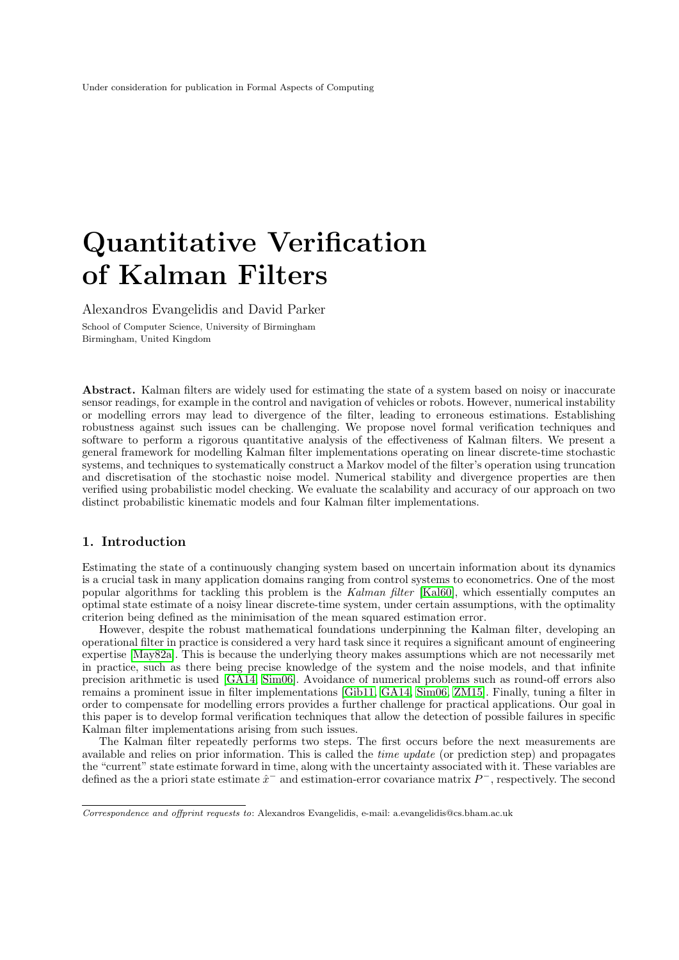## Quantitative Verification of Kalman Filters

Alexandros Evangelidis and David Parker

School of Computer Science, University of Birmingham Birmingham, United Kingdom

Abstract. Kalman filters are widely used for estimating the state of a system based on noisy or inaccurate sensor readings, for example in the control and navigation of vehicles or robots. However, numerical instability or modelling errors may lead to divergence of the filter, leading to erroneous estimations. Establishing robustness against such issues can be challenging. We propose novel formal verification techniques and software to perform a rigorous quantitative analysis of the effectiveness of Kalman filters. We present a general framework for modelling Kalman filter implementations operating on linear discrete-time stochastic systems, and techniques to systematically construct a Markov model of the filter's operation using truncation and discretisation of the stochastic noise model. Numerical stability and divergence properties are then verified using probabilistic model checking. We evaluate the scalability and accuracy of our approach on two distinct probabilistic kinematic models and four Kalman filter implementations.

#### 1. Introduction

Estimating the state of a continuously changing system based on uncertain information about its dynamics is a crucial task in many application domains ranging from control systems to econometrics. One of the most popular algorithms for tackling this problem is the Kalman filter [\[Kal60\]](#page-24-0), which essentially computes an optimal state estimate of a noisy linear discrete-time system, under certain assumptions, with the optimality criterion being defined as the minimisation of the mean squared estimation error.

However, despite the robust mathematical foundations underpinning the Kalman filter, developing an operational filter in practice is considered a very hard task since it requires a significant amount of engineering expertise [\[May82a\]](#page-25-0). This is because the underlying theory makes assumptions which are not necessarily met in practice, such as there being precise knowledge of the system and the noise models, and that infinite precision arithmetic is used [\[GA14,](#page-24-1) [Sim06\]](#page-25-1). Avoidance of numerical problems such as round-off errors also remains a prominent issue in filter implementations [\[Gib11,](#page-24-2) [GA14,](#page-24-1) [Sim06,](#page-25-1) [ZM15\]](#page-25-2). Finally, tuning a filter in order to compensate for modelling errors provides a further challenge for practical applications. Our goal in this paper is to develop formal verification techniques that allow the detection of possible failures in specific Kalman filter implementations arising from such issues.

The Kalman filter repeatedly performs two steps. The first occurs before the next measurements are available and relies on prior information. This is called the time update (or prediction step) and propagates the "current" state estimate forward in time, along with the uncertainty associated with it. These variables are defined as the a priori state estimate  $\hat{x}^-$  and estimation-error covariance matrix  $P^-$ , respectively. The second

Correspondence and offprint requests to: Alexandros Evangelidis, e-mail: a.evangelidis@cs.bham.ac.uk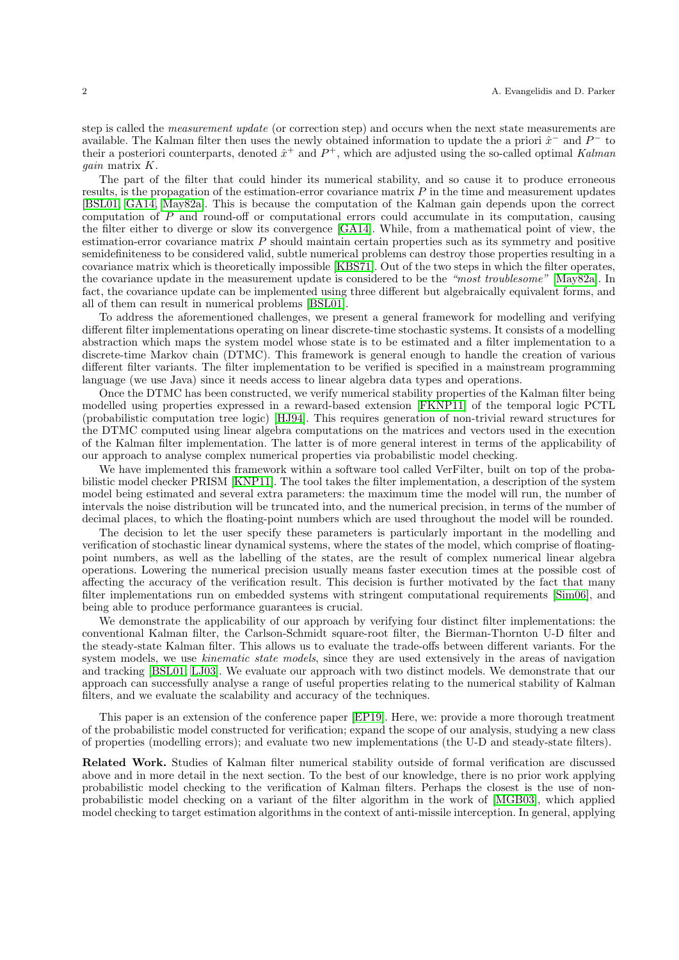step is called the *measurement update* (or correction step) and occurs when the next state measurements are available. The Kalman filter then uses the newly obtained information to update the a priori  $\hat{x}^-$  and  $P^-$  to their a posteriori counterparts, denoted  $\hat{x}^+$  and  $P^+$ , which are adjusted using the so-called optimal Kalman gain matrix K.

The part of the filter that could hinder its numerical stability, and so cause it to produce erroneous results, is the propagation of the estimation-error covariance matrix  $P$  in the time and measurement updates [\[BSL01,](#page-24-3) [GA14,](#page-24-1) [May82a\]](#page-25-0). This is because the computation of the Kalman gain depends upon the correct computation of P and round-off or computational errors could accumulate in its computation, causing the filter either to diverge or slow its convergence [\[GA14\]](#page-24-1). While, from a mathematical point of view, the estimation-error covariance matrix  $P$  should maintain certain properties such as its symmetry and positive semidefiniteness to be considered valid, subtle numerical problems can destroy those properties resulting in a covariance matrix which is theoretically impossible [\[KBS71\]](#page-24-4). Out of the two steps in which the filter operates, the covariance update in the measurement update is considered to be the "most troublesome" [\[May82a\]](#page-25-0). In fact, the covariance update can be implemented using three different but algebraically equivalent forms, and all of them can result in numerical problems [\[BSL01\]](#page-24-3).

To address the aforementioned challenges, we present a general framework for modelling and verifying different filter implementations operating on linear discrete-time stochastic systems. It consists of a modelling abstraction which maps the system model whose state is to be estimated and a filter implementation to a discrete-time Markov chain (DTMC). This framework is general enough to handle the creation of various different filter variants. The filter implementation to be verified is specified in a mainstream programming language (we use Java) since it needs access to linear algebra data types and operations.

Once the DTMC has been constructed, we verify numerical stability properties of the Kalman filter being modelled using properties expressed in a reward-based extension [\[FKNP11\]](#page-24-5) of the temporal logic PCTL (probabilistic computation tree logic) [\[HJ94\]](#page-24-6). This requires generation of non-trivial reward structures for the DTMC computed using linear algebra computations on the matrices and vectors used in the execution of the Kalman filter implementation. The latter is of more general interest in terms of the applicability of our approach to analyse complex numerical properties via probabilistic model checking.

We have implemented this framework within a software tool called VerFilter, built on top of the probabilistic model checker PRISM [\[KNP11\]](#page-25-3). The tool takes the filter implementation, a description of the system model being estimated and several extra parameters: the maximum time the model will run, the number of intervals the noise distribution will be truncated into, and the numerical precision, in terms of the number of decimal places, to which the floating-point numbers which are used throughout the model will be rounded.

The decision to let the user specify these parameters is particularly important in the modelling and verification of stochastic linear dynamical systems, where the states of the model, which comprise of floatingpoint numbers, as well as the labelling of the states, are the result of complex numerical linear algebra operations. Lowering the numerical precision usually means faster execution times at the possible cost of affecting the accuracy of the verification result. This decision is further motivated by the fact that many filter implementations run on embedded systems with stringent computational requirements [\[Sim06\]](#page-25-1), and being able to produce performance guarantees is crucial.

We demonstrate the applicability of our approach by verifying four distinct filter implementations: the conventional Kalman filter, the Carlson-Schmidt square-root filter, the Bierman-Thornton U-D filter and the steady-state Kalman filter. This allows us to evaluate the trade-offs between different variants. For the system models, we use *kinematic state models*, since they are used extensively in the areas of navigation and tracking [\[BSL01,](#page-24-3) [LJ03\]](#page-25-4). We evaluate our approach with two distinct models. We demonstrate that our approach can successfully analyse a range of useful properties relating to the numerical stability of Kalman filters, and we evaluate the scalability and accuracy of the techniques.

This paper is an extension of the conference paper [\[EP19\]](#page-24-7). Here, we: provide a more thorough treatment of the probabilistic model constructed for verification; expand the scope of our analysis, studying a new class of properties (modelling errors); and evaluate two new implementations (the U-D and steady-state filters).

Related Work. Studies of Kalman filter numerical stability outside of formal verification are discussed above and in more detail in the next section. To the best of our knowledge, there is no prior work applying probabilistic model checking to the verification of Kalman filters. Perhaps the closest is the use of non-probabilistic model checking on a variant of the filter algorithm in the work of [\[MGB03\]](#page-25-5), which applied model checking to target estimation algorithms in the context of anti-missile interception. In general, applying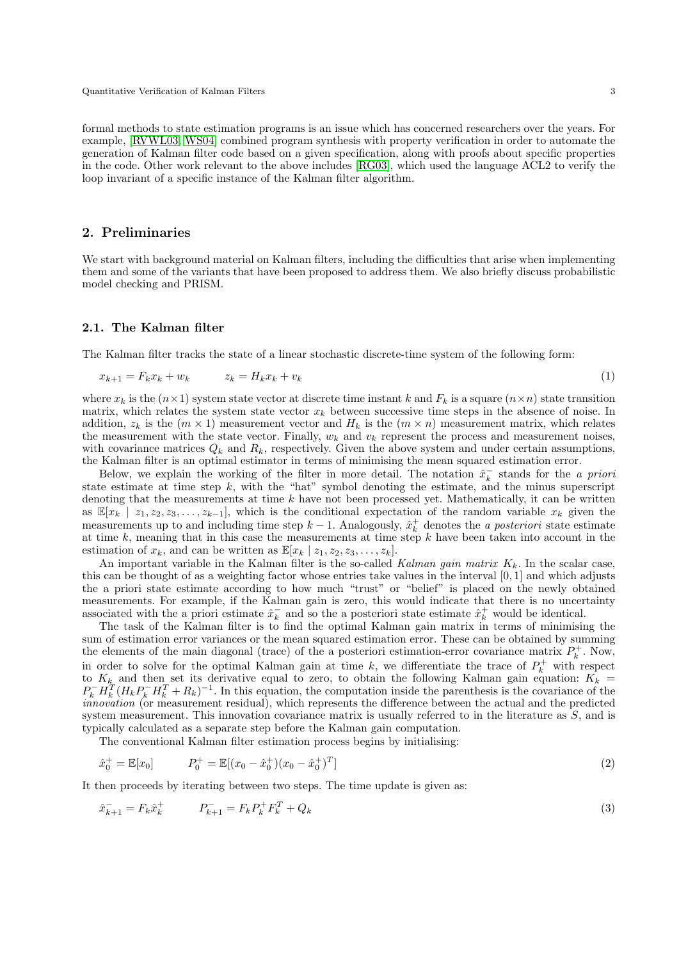Quantitative Verification of Kalman Filters 3

formal methods to state estimation programs is an issue which has concerned researchers over the years. For example, [\[RVWL03,](#page-25-6) [WS04\]](#page-25-7) combined program synthesis with property verification in order to automate the generation of Kalman filter code based on a given specification, along with proofs about specific properties in the code. Other work relevant to the above includes [\[RG03\]](#page-25-8), which used the language ACL2 to verify the loop invariant of a specific instance of the Kalman filter algorithm.

#### 2. Preliminaries

We start with background material on Kalman filters, including the difficulties that arise when implementing them and some of the variants that have been proposed to address them. We also briefly discuss probabilistic model checking and PRISM.

#### <span id="page-3-0"></span>2.1. The Kalman filter

xˆ

The Kalman filter tracks the state of a linear stochastic discrete-time system of the following form:

<span id="page-3-1"></span>
$$
x_{k+1} = F_k x_k + w_k \qquad z_k = H_k x_k + v_k \tag{1}
$$

where  $x_k$  is the  $(n \times 1)$  system state vector at discrete time instant k and  $F_k$  is a square  $(n \times n)$  state transition matrix, which relates the system state vector  $x_k$  between successive time steps in the absence of noise. In addition,  $z_k$  is the  $(m \times 1)$  measurement vector and  $H_k$  is the  $(m \times n)$  measurement matrix, which relates the measurement with the state vector. Finally,  $w_k$  and  $v_k$  represent the process and measurement noises, with covariance matrices  $Q_k$  and  $R_k$ , respectively. Given the above system and under certain assumptions, the Kalman filter is an optimal estimator in terms of minimising the mean squared estimation error.

Below, we explain the working of the filter in more detail. The notation  $\hat{x}_k^-$  stands for the a priori state estimate at time step  $k$ , with the "hat" symbol denoting the estimate, and the minus superscript denoting that the measurements at time  $k$  have not been processed yet. Mathematically, it can be written as  $\mathbb{E}[x_k \mid z_1, z_2, z_3, \ldots, z_{k-1}]$ , which is the conditional expectation of the random variable  $x_k$  given the measurements up to and including time step  $k-1$ . Analogously,  $\hat{x}_{k}^{+}$  denotes the *a posteriori* state estimate at time  $k$ , meaning that in this case the measurements at time step  $k$  have been taken into account in the estimation of  $x_k$ , and can be written as  $\mathbb{E}[x_k | z_1, z_2, z_3, \ldots, z_k].$ 

An important variable in the Kalman filter is the so-called Kalman gain matrix  $K_k$ . In the scalar case, this can be thought of as a weighting factor whose entries take values in the interval [0, 1] and which adjusts the a priori state estimate according to how much "trust" or "belief" is placed on the newly obtained measurements. For example, if the Kalman gain is zero, this would indicate that there is no uncertainty associated with the a priori estimate  $\hat{x}_k^-$  and so the a posteriori state estimate  $\hat{x}_k^+$  would be identical.

The task of the Kalman filter is to find the optimal Kalman gain matrix in terms of minimising the sum of estimation error variances or the mean squared estimation error. These can be obtained by summing the elements of the main diagonal (trace) of the a posteriori estimation-error covariance matrix  $P_k^+$ . Now, in order to solve for the optimal Kalman gain at time k, we differentiate the trace of  $P_k^+$  with respect to  $K_k$  and then set its derivative equal to zero, to obtain the following Kalman gain equation:  $K_k$  =  $P_k^- H_k^T (H_k P_k^- H_k^T + R_k)^{-1}$ . In this equation, the computation inside the parenthesis is the covariance of the innovation (or measurement residual), which represents the difference between the actual and the predicted system measurement. This innovation covariance matrix is usually referred to in the literature as  $S$ , and is typically calculated as a separate step before the Kalman gain computation.

The conventional Kalman filter estimation process begins by initialising:

<span id="page-3-2"></span>
$$
\hat{x}_0^+ = \mathbb{E}[x_0] \qquad P_0^+ = \mathbb{E}[(x_0 - \hat{x}_0^+)(x_0 - \hat{x}_0^+)^T]
$$
\n(2)

It then proceeds by iterating between two steps. The time update is given as:

$$
\hat{x}_{k+1}^- = F_k \hat{x}_k^+ \qquad P_{k+1}^- = F_k P_k^+ F_k^T + Q_k \tag{3}
$$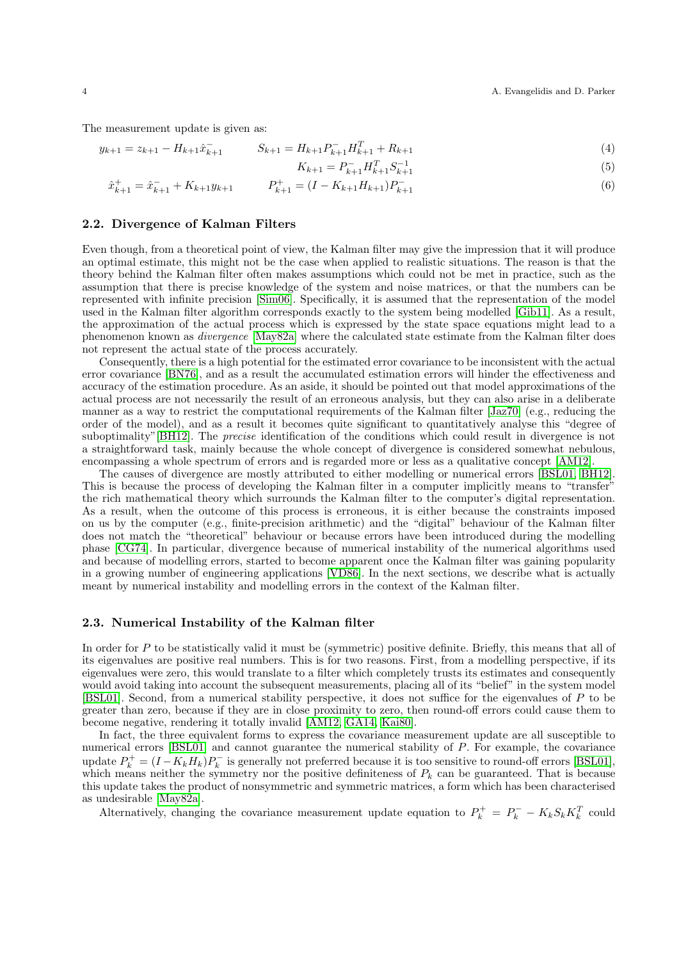The measurement update is given as:

$$
y_{k+1} = z_{k+1} - H_{k+1}\hat{x}_{k+1}^- \qquad S_{k+1} = H_{k+1}P_{k+1}^-H_{k+1}^T + R_{k+1}
$$
\n
$$
\tag{4}
$$

<span id="page-4-0"></span>
$$
K_{k+1} = P_{k+1}^- H_{k+1}^T S_{k+1}^{-1} \tag{5}
$$

$$
\hat{x}_{k+1}^+ = \hat{x}_{k+1}^- + K_{k+1}y_{k+1} \qquad P_{k+1}^+ = (I - K_{k+1}H_{k+1})P_{k+1}^- \tag{6}
$$

#### 2.2. Divergence of Kalman Filters

Even though, from a theoretical point of view, the Kalman filter may give the impression that it will produce an optimal estimate, this might not be the case when applied to realistic situations. The reason is that the theory behind the Kalman filter often makes assumptions which could not be met in practice, such as the assumption that there is precise knowledge of the system and noise matrices, or that the numbers can be represented with infinite precision [\[Sim06\]](#page-25-1). Specifically, it is assumed that the representation of the model used in the Kalman filter algorithm corresponds exactly to the system being modelled [\[Gib11\]](#page-24-2). As a result, the approximation of the actual process which is expressed by the state space equations might lead to a phenomenon known as divergence [\[May82a\]](#page-25-0) where the calculated state estimate from the Kalman filter does not represent the actual state of the process accurately.

Consequently, there is a high potential for the estimated error covariance to be inconsistent with the actual error covariance [\[BN76\]](#page-24-8), and as a result the accumulated estimation errors will hinder the effectiveness and accuracy of the estimation procedure. As an aside, it should be pointed out that model approximations of the actual process are not necessarily the result of an erroneous analysis, but they can also arise in a deliberate manner as a way to restrict the computational requirements of the Kalman filter [\[Jaz70\]](#page-24-9) (e.g., reducing the order of the model), and as a result it becomes quite significant to quantitatively analyse this "degree of suboptimality"[\[BH12\]](#page-24-10). The *precise* identification of the conditions which could result in divergence is not a straightforward task, mainly because the whole concept of divergence is considered somewhat nebulous, encompassing a whole spectrum of errors and is regarded more or less as a qualitative concept [\[AM12\]](#page-24-11).

The causes of divergence are mostly attributed to either modelling or numerical errors [\[BSL01,](#page-24-3) [BH12\]](#page-24-10). This is because the process of developing the Kalman filter in a computer implicitly means to "transfer" the rich mathematical theory which surrounds the Kalman filter to the computer's digital representation. As a result, when the outcome of this process is erroneous, it is either because the constraints imposed on us by the computer (e.g., finite-precision arithmetic) and the "digital" behaviour of the Kalman filter does not match the "theoretical" behaviour or because errors have been introduced during the modelling phase [\[CG74\]](#page-24-12). In particular, divergence because of numerical instability of the numerical algorithms used and because of modelling errors, started to become apparent once the Kalman filter was gaining popularity in a growing number of engineering applications [\[VD86\]](#page-25-9). In the next sections, we describe what is actually meant by numerical instability and modelling errors in the context of the Kalman filter.

#### <span id="page-4-1"></span>2.3. Numerical Instability of the Kalman filter

In order for  $P$  to be statistically valid it must be (symmetric) positive definite. Briefly, this means that all of its eigenvalues are positive real numbers. This is for two reasons. First, from a modelling perspective, if its eigenvalues were zero, this would translate to a filter which completely trusts its estimates and consequently would avoid taking into account the subsequent measurements, placing all of its "belief" in the system model [\[BSL01\]](#page-24-3). Second, from a numerical stability perspective, it does not suffice for the eigenvalues of P to be greater than zero, because if they are in close proximity to zero, then round-off errors could cause them to become negative, rendering it totally invalid [\[AM12,](#page-24-11) [GA14,](#page-24-1) [Kai80\]](#page-24-13).

In fact, the three equivalent forms to express the covariance measurement update are all susceptible to numerical errors [\[BSL01\]](#page-24-3) and cannot guarantee the numerical stability of P. For example, the covariance update  $P_k^+ = (I - K_k H_k) P_k^-$  is generally not preferred because it is too sensitive to round-off errors [\[BSL01\]](#page-24-3), which means neither the symmetry nor the positive definiteness of  $P_k$  can be guaranteed. That is because this update takes the product of nonsymmetric and symmetric matrices, a form which has been characterised as undesirable [\[May82a\]](#page-25-0).

Alternatively, changing the covariance measurement update equation to  $P_k^+ = P_k^- - K_k S_k K_k^T$  could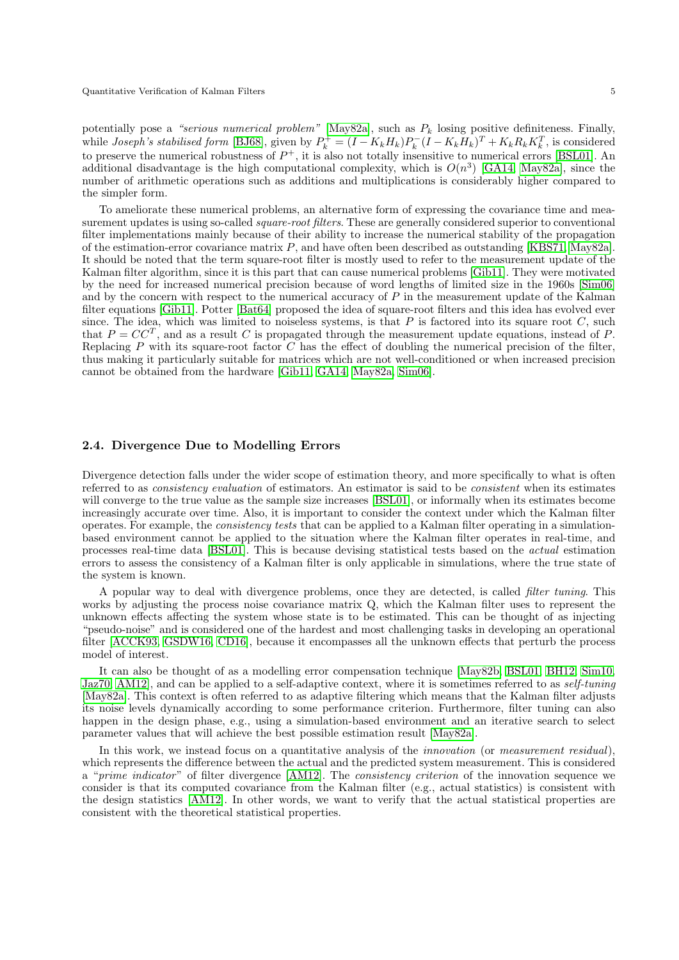potentially pose a "serious numerical problem" [\[May82a\]](#page-25-0), such as  $P_k$  losing positive definiteness. Finally, while *Joseph's stabilised form* [\[BJ68\]](#page-24-14), given by  $P_k^{\dagger} = (I - K_k H_k) P_k^-(I - K_k H_k)^T + K_k R_k K_k^T$ , is considered to preserve the numerical robustness of  $P^+$ , it is also not totally insensitive to numerical errors [\[BSL01\]](#page-24-3). An additional disadvantage is the high computational complexity, which is  $O(n^3)$  [\[GA14,](#page-24-1) [May82a\]](#page-25-0), since the number of arithmetic operations such as additions and multiplications is considerably higher compared to the simpler form.

To ameliorate these numerical problems, an alternative form of expressing the covariance time and measurement updates is using so-called *square-root filters*. These are generally considered superior to conventional filter implementations mainly because of their ability to increase the numerical stability of the propagation of the estimation-error covariance matrix  $P$ , and have often been described as outstanding [\[KBS71,](#page-24-4) [May82a\]](#page-25-0). It should be noted that the term square-root filter is mostly used to refer to the measurement update of the Kalman filter algorithm, since it is this part that can cause numerical problems [\[Gib11\]](#page-24-2). They were motivated by the need for increased numerical precision because of word lengths of limited size in the 1960s [\[Sim06\]](#page-25-1) and by the concern with respect to the numerical accuracy of  $P$  in the measurement update of the Kalman filter equations [\[Gib11\]](#page-24-2). Potter [\[Bat64\]](#page-24-15) proposed the idea of square-root filters and this idea has evolved ever since. The idea, which was limited to noiseless systems, is that  $P$  is factored into its square root  $C$ , such that  $P = CC^T$ , and as a result C is propagated through the measurement update equations, instead of P. Replacing P with its square-root factor  $\overrightarrow{C}$  has the effect of doubling the numerical precision of the filter, thus making it particularly suitable for matrices which are not well-conditioned or when increased precision cannot be obtained from the hardware [\[Gib11,](#page-24-2) [GA14,](#page-24-1) [May82a,](#page-25-0) [Sim06\]](#page-25-1).

#### <span id="page-5-0"></span>2.4. Divergence Due to Modelling Errors

Divergence detection falls under the wider scope of estimation theory, and more specifically to what is often referred to as consistency evaluation of estimators. An estimator is said to be consistent when its estimates will converge to the true value as the sample size increases [\[BSL01\]](#page-24-3), or informally when its estimates become increasingly accurate over time. Also, it is important to consider the context under which the Kalman filter operates. For example, the consistency tests that can be applied to a Kalman filter operating in a simulationbased environment cannot be applied to the situation where the Kalman filter operates in real-time, and processes real-time data [\[BSL01\]](#page-24-3). This is because devising statistical tests based on the actual estimation errors to assess the consistency of a Kalman filter is only applicable in simulations, where the true state of the system is known.

A popular way to deal with divergence problems, once they are detected, is called filter tuning. This works by adjusting the process noise covariance matrix Q, which the Kalman filter uses to represent the unknown effects affecting the system whose state is to be estimated. This can be thought of as injecting "pseudo-noise" and is considered one of the hardest and most challenging tasks in developing an operational filter [\[ACCK93,](#page-24-16) [GSDW16,](#page-24-17) [CD16\]](#page-24-18), because it encompasses all the unknown effects that perturb the process model of interest.

It can also be thought of as a modelling error compensation technique [\[May82b,](#page-25-10) [BSL01,](#page-24-3) [BH12,](#page-24-10) [Sim10,](#page-25-11) [Jaz70,](#page-24-9) [AM12\]](#page-24-11), and can be applied to a self-adaptive context, where it is sometimes referred to as self-tuning [\[May82a\]](#page-25-0). This context is often referred to as adaptive filtering which means that the Kalman filter adjusts its noise levels dynamically according to some performance criterion. Furthermore, filter tuning can also happen in the design phase, e.g., using a simulation-based environment and an iterative search to select parameter values that will achieve the best possible estimation result [\[May82a\]](#page-25-0).

In this work, we instead focus on a quantitative analysis of the *innovation* (or *measurement residual*), which represents the difference between the actual and the predicted system measurement. This is considered a "prime indicator" of filter divergence [\[AM12\]](#page-24-11). The consistency criterion of the innovation sequence we consider is that its computed covariance from the Kalman filter (e.g., actual statistics) is consistent with the design statistics [\[AM12\]](#page-24-11). In other words, we want to verify that the actual statistical properties are consistent with the theoretical statistical properties.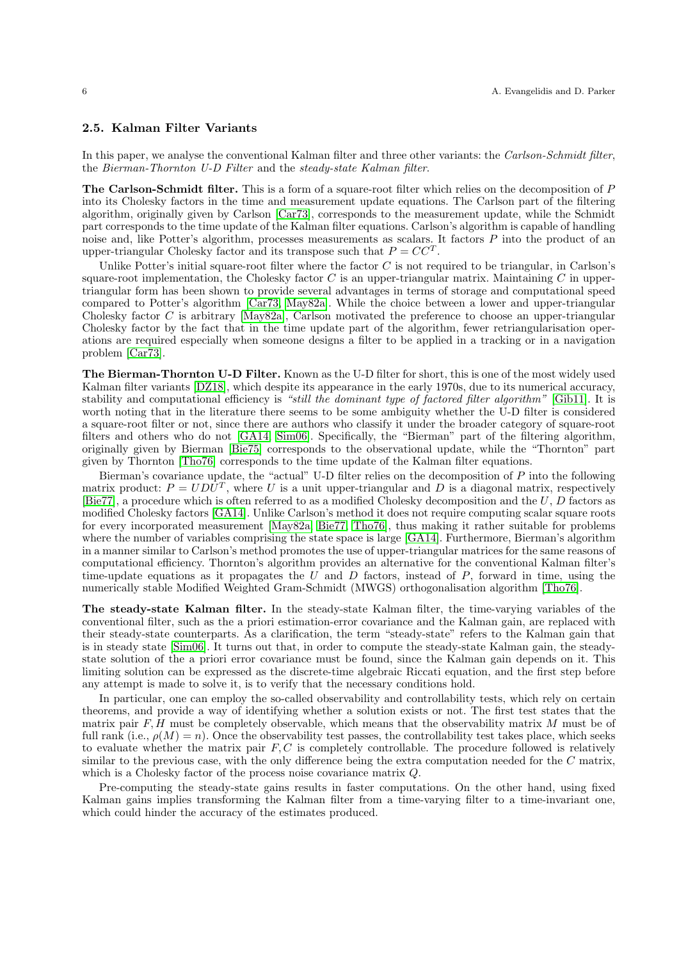#### 2.5. Kalman Filter Variants

In this paper, we analyse the conventional Kalman filter and three other variants: the Carlson-Schmidt filter, the Bierman-Thornton U-D Filter and the steady-state Kalman filter.

The Carlson-Schmidt filter. This is a form of a square-root filter which relies on the decomposition of P into its Cholesky factors in the time and measurement update equations. The Carlson part of the filtering algorithm, originally given by Carlson [\[Car73\]](#page-24-19), corresponds to the measurement update, while the Schmidt part corresponds to the time update of the Kalman filter equations. Carlson's algorithm is capable of handling noise and, like Potter's algorithm, processes measurements as scalars. It factors P into the product of an upper-triangular Cholesky factor and its transpose such that  $P = CC<sup>T</sup>$ .

Unlike Potter's initial square-root filter where the factor  $C$  is not required to be triangular, in Carlson's square-root implementation, the Cholesky factor  $C$  is an upper-triangular matrix. Maintaining  $C$  in uppertriangular form has been shown to provide several advantages in terms of storage and computational speed compared to Potter's algorithm [\[Car73,](#page-24-19) [May82a\]](#page-25-0). While the choice between a lower and upper-triangular Cholesky factor C is arbitrary [\[May82a\]](#page-25-0), Carlson motivated the preference to choose an upper-triangular Cholesky factor by the fact that in the time update part of the algorithm, fewer retriangularisation operations are required especially when someone designs a filter to be applied in a tracking or in a navigation problem [\[Car73\]](#page-24-19).

The Bierman-Thornton U-D Filter. Known as the U-D filter for short, this is one of the most widely used Kalman filter variants [\[DZ18\]](#page-24-20), which despite its appearance in the early 1970s, due to its numerical accuracy, stability and computational efficiency is "still the dominant type of factored filter algorithm" [\[Gib11\]](#page-24-2). It is worth noting that in the literature there seems to be some ambiguity whether the U-D filter is considered a square-root filter or not, since there are authors who classify it under the broader category of square-root filters and others who do not [\[GA14,](#page-24-1) [Sim06\]](#page-25-1). Specifically, the "Bierman" part of the filtering algorithm, originally given by Bierman [\[Bie75\]](#page-24-21) corresponds to the observational update, while the "Thornton" part given by Thornton [\[Tho76\]](#page-25-12) corresponds to the time update of the Kalman filter equations.

Bierman's covariance update, the "actual" U-D filter relies on the decomposition of P into the following matrix product:  $P = UDU^{T}$ , where U is a unit upper-triangular and D is a diagonal matrix, respectively [\[Bie77\]](#page-24-22), a procedure which is often referred to as a modified Cholesky decomposition and the  $U, D$  factors as modified Cholesky factors [\[GA14\]](#page-24-1). Unlike Carlson's method it does not require computing scalar square roots for every incorporated measurement [\[May82a,](#page-25-0) [Bie77,](#page-24-22) [Tho76\]](#page-25-12), thus making it rather suitable for problems where the number of variables comprising the state space is large [\[GA14\]](#page-24-1). Furthermore, Bierman's algorithm in a manner similar to Carlson's method promotes the use of upper-triangular matrices for the same reasons of computational efficiency. Thornton's algorithm provides an alternative for the conventional Kalman filter's time-update equations as it propagates the U and D factors, instead of  $P$ , forward in time, using the numerically stable Modified Weighted Gram-Schmidt (MWGS) orthogonalisation algorithm [\[Tho76\]](#page-25-12).

The steady-state Kalman filter. In the steady-state Kalman filter, the time-varying variables of the conventional filter, such as the a priori estimation-error covariance and the Kalman gain, are replaced with their steady-state counterparts. As a clarification, the term "steady-state" refers to the Kalman gain that is in steady state [\[Sim06\]](#page-25-1). It turns out that, in order to compute the steady-state Kalman gain, the steadystate solution of the a priori error covariance must be found, since the Kalman gain depends on it. This limiting solution can be expressed as the discrete-time algebraic Riccati equation, and the first step before any attempt is made to solve it, is to verify that the necessary conditions hold.

In particular, one can employ the so-called observability and controllability tests, which rely on certain theorems, and provide a way of identifying whether a solution exists or not. The first test states that the matrix pair  $F, H$  must be completely observable, which means that the observability matrix M must be of full rank (i.e.,  $\rho(M) = n$ ). Once the observability test passes, the controllability test takes place, which seeks to evaluate whether the matrix pair  $F, C$  is completely controllable. The procedure followed is relatively similar to the previous case, with the only difference being the extra computation needed for the C matrix, which is a Cholesky factor of the process noise covariance matrix Q.

Pre-computing the steady-state gains results in faster computations. On the other hand, using fixed Kalman gains implies transforming the Kalman filter from a time-varying filter to a time-invariant one, which could hinder the accuracy of the estimates produced.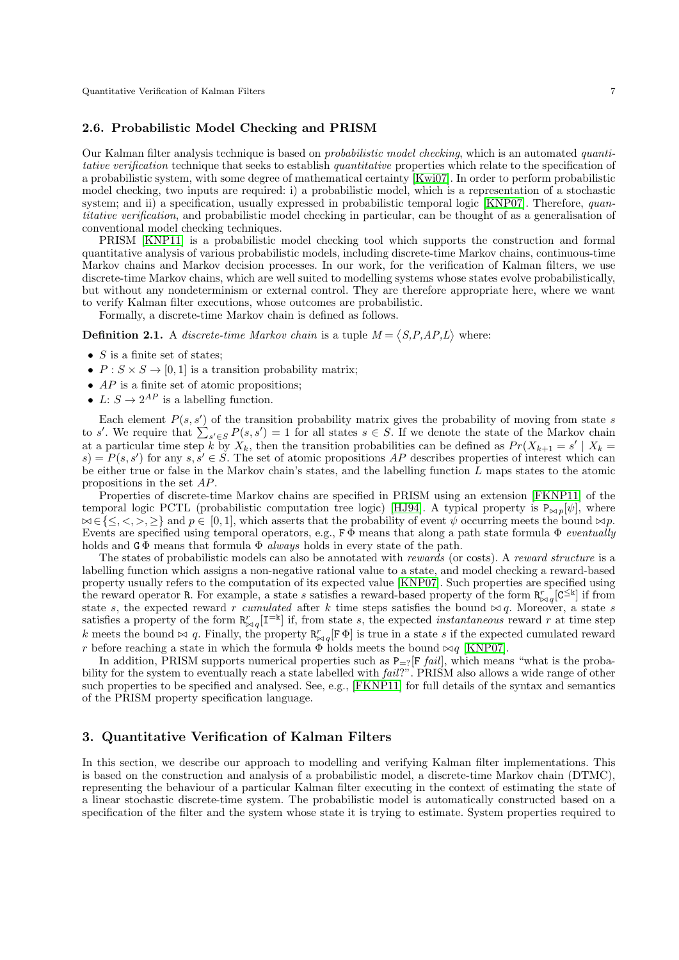Quantitative Verification of Kalman Filters 7

#### <span id="page-7-0"></span>2.6. Probabilistic Model Checking and PRISM

Our Kalman filter analysis technique is based on probabilistic model checking, which is an automated quantitative verification technique that seeks to establish *quantitative* properties which relate to the specification of a probabilistic system, with some degree of mathematical certainty [\[Kwi07\]](#page-25-13). In order to perform probabilistic model checking, two inputs are required: i) a probabilistic model, which is a representation of a stochastic system; and ii) a specification, usually expressed in probabilistic temporal logic [\[KNP07\]](#page-24-23). Therefore, quantitative verification, and probabilistic model checking in particular, can be thought of as a generalisation of conventional model checking techniques.

PRISM [\[KNP11\]](#page-25-3) is a probabilistic model checking tool which supports the construction and formal quantitative analysis of various probabilistic models, including discrete-time Markov chains, continuous-time Markov chains and Markov decision processes. In our work, for the verification of Kalman filters, we use discrete-time Markov chains, which are well suited to modelling systems whose states evolve probabilistically, but without any nondeterminism or external control. They are therefore appropriate here, where we want to verify Kalman filter executions, whose outcomes are probabilistic.

Formally, a discrete-time Markov chain is defined as follows.

**Definition 2.1.** A *discrete-time Markov chain* is a tuple  $M = \langle S, P, AP, L \rangle$  where:

- $S$  is a finite set of states;
- $P: S \times S \rightarrow [0, 1]$  is a transition probability matrix;
- $AP$  is a finite set of atomic propositions;
- $L: S \to 2^{AP}$  is a labelling function.

Each element  $P(s, s')$  of the transition probability matrix gives the probability of moving from state s to s'. We require that  $\sum_{s' \in S} P(s, s') = 1$  for all states  $s \in S$ . If we denote the state of the Markov chain at a particular time step k by  $X_k$ , then the transition probabilities can be defined as  $Pr(X_{k+1} = s' | X_k =$  $s = P(s, s')$  for any  $s, s' \in S$ . The set of atomic propositions AP describes properties of interest which can be either true or false in the Markov chain's states, and the labelling function L maps states to the atomic propositions in the set AP.

Properties of discrete-time Markov chains are specified in PRISM using an extension [\[FKNP11\]](#page-24-5) of the temporal logic PCTL (probabilistic computation tree logic) [\[HJ94\]](#page-24-6). A typical property is  $P_{\bowtie p}[\psi]$ , where  $\forall \epsilon \in \{<,\leq,\geq,\geq\}$  and  $p \in [0,1]$ , which asserts that the probability of event  $\psi$  occurring meets the bound  $\approx p$ . Events are specified using temporal operators, e.g.,  $F\Phi$  means that along a path state formula  $\Phi$  eventually holds and  $\mathcal{G} \Phi$  means that formula  $\Phi$  always holds in every state of the path.

The states of probabilistic models can also be annotated with *rewards* (or costs). A *reward structure* is a labelling function which assigns a non-negative rational value to a state, and model checking a reward-based property usually refers to the computation of its expected value [\[KNP07\]](#page-24-23). Such properties are specified using the reward operator R. For example, a state s satisfies a reward-based property of the form  $R_{\bowtie q}^r [\mathcal{C}^{\leq k}]$  if from state s, the expected reward r cumulated after k time steps satisfies the bound  $\bowtie q$ . Moreover, a state s satisfies a property of the form  $R_{\bowtie q}^r[I^{-k}]$  if, from state s, the expected *instantaneous* reward r at time step k meets the bound  $\bowtie q$ . Finally, the property  $R^r_{\bowtie q}$  [F  $\Phi$ ] is true in a state s if the expected cumulated reward r before reaching a state in which the formula  $\Phi$  holds meets the bound  $\bowtie q$  [\[KNP07\]](#page-24-23).

In addition, PRISM supports numerical properties such as  $P_{=2}$  [F *fail*], which means "what is the probability for the system to eventually reach a state labelled with fail?". PRISM also allows a wide range of other such properties to be specified and analysed. See, e.g., [\[FKNP11\]](#page-24-5) for full details of the syntax and semantics of the PRISM property specification language.

#### <span id="page-7-1"></span>3. Quantitative Verification of Kalman Filters

In this section, we describe our approach to modelling and verifying Kalman filter implementations. This is based on the construction and analysis of a probabilistic model, a discrete-time Markov chain (DTMC), representing the behaviour of a particular Kalman filter executing in the context of estimating the state of a linear stochastic discrete-time system. The probabilistic model is automatically constructed based on a specification of the filter and the system whose state it is trying to estimate. System properties required to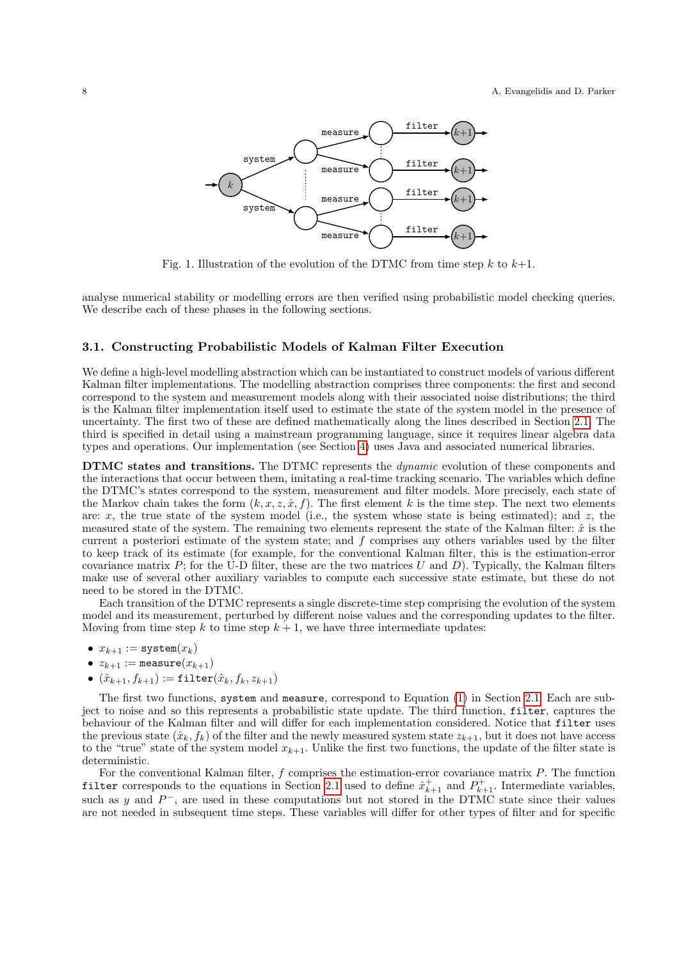<span id="page-8-0"></span>

Fig. 1. Illustration of the evolution of the DTMC from time step  $k$  to  $k+1$ .

analyse numerical stability or modelling errors are then verified using probabilistic model checking queries. We describe each of these phases in the following sections.

#### <span id="page-8-1"></span>3.1. Constructing Probabilistic Models of Kalman Filter Execution

We define a high-level modelling abstraction which can be instantiated to construct models of various different Kalman filter implementations. The modelling abstraction comprises three components: the first and second correspond to the system and measurement models along with their associated noise distributions; the third is the Kalman filter implementation itself used to estimate the state of the system model in the presence of uncertainty. The first two of these are defined mathematically along the lines described in Section [2.1.](#page-3-0) The third is specified in detail using a mainstream programming language, since it requires linear algebra data types and operations. Our implementation (see Section [4\)](#page-14-0) uses Java and associated numerical libraries.

DTMC states and transitions. The DTMC represents the *dynamic* evolution of these components and the interactions that occur between them, imitating a real-time tracking scenario. The variables which define the DTMC's states correspond to the system, measurement and filter models. More precisely, each state of the Markov chain takes the form  $(k, x, z, \hat{x}, f)$ . The first element k is the time step. The next two elements are: x, the true state of the system model (i.e., the system whose state is being estimated); and z, the measured state of the system. The remaining two elements represent the state of the Kalman filter:  $\hat{x}$  is the current a posteriori estimate of the system state; and f comprises any others variables used by the filter to keep track of its estimate (for example, for the conventional Kalman filter, this is the estimation-error covariance matrix  $P$ ; for the U-D filter, these are the two matrices U and D). Typically, the Kalman filters make use of several other auxiliary variables to compute each successive state estimate, but these do not need to be stored in the DTMC.

Each transition of the DTMC represents a single discrete-time step comprising the evolution of the system model and its measurement, perturbed by different noise values and the corresponding updates to the filter. Moving from time step  $k$  to time step  $k + 1$ , we have three intermediate updates:

- $x_{k+1} := \text{system}(x_k)$
- $z_{k+1} := \text{measure}(x_{k+1})$
- $(\hat{x}_{k+1}, f_{k+1}) := \texttt{filter}(\hat{x}_k, f_k, z_{k+1})$

The first two functions, system and measure, correspond to Equation [\(1\)](#page-3-1) in Section [2.1.](#page-3-0) Each are subject to noise and so this represents a probabilistic state update. The third function, filter, captures the behaviour of the Kalman filter and will differ for each implementation considered. Notice that filter uses the previous state  $(\hat{x}_k, f_k)$  of the filter and the newly measured system state  $z_{k+1}$ , but it does not have access to the "true" state of the system model  $x_{k+1}$ . Unlike the first two functions, the update of the filter state is deterministic.

For the conventional Kalman filter,  $f$  comprises the estimation-error covariance matrix  $P$ . The function filter corresponds to the equations in Section [2.1](#page-3-0) used to define  $\hat{x}_{k+1}^+$  and  $P_{k+1}^+$ . Intermediate variables, such as y and  $P^-$ , are used in these computations but not stored in the DTMC state since their values are not needed in subsequent time steps. These variables will differ for other types of filter and for specific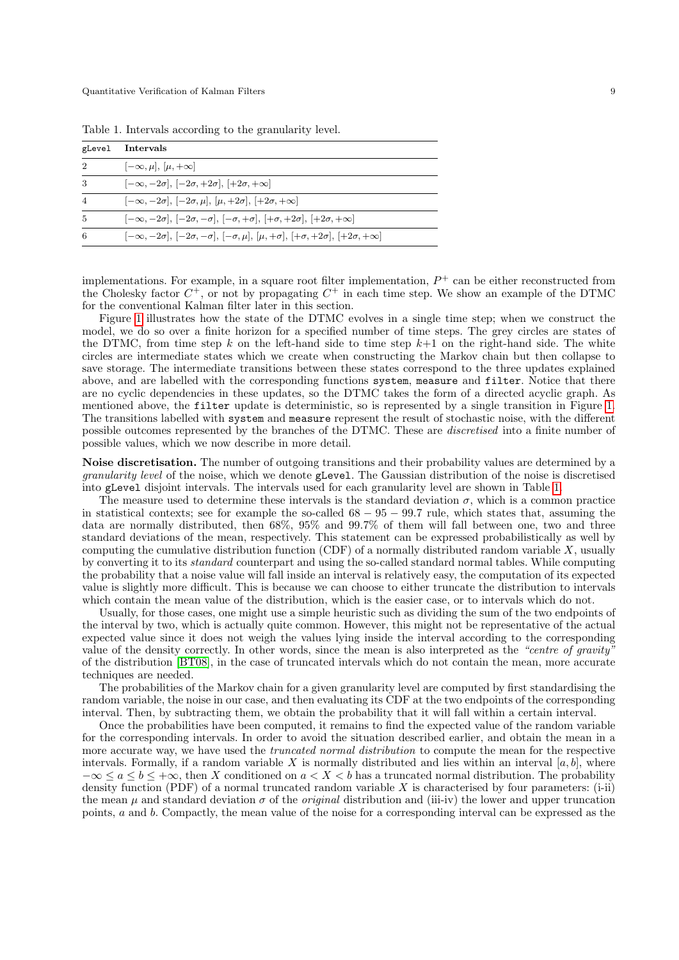| gLevel | Intervals                                                                                                             |
|--------|-----------------------------------------------------------------------------------------------------------------------|
| 2      | $[-\infty, \mu],  \mu, +\infty $                                                                                      |
| 3      | $[-\infty, -2\sigma], [-2\sigma, +2\sigma], +2\sigma, +\infty]$                                                       |
|        | $[-\infty, -2\sigma]$ , $[-2\sigma, \mu]$ , $[\mu, +2\sigma]$ , $[+2\sigma, +\infty]$                                 |
| 5      | $[-\infty, -2\sigma], [-2\sigma, -\sigma], [-\sigma, +\sigma], +\sigma, +2\sigma], +2\sigma, +\infty]$                |
| 6      | $[-\infty, -2\sigma], [-2\sigma, -\sigma], [-\sigma, \mu], [\mu, +\sigma], [+ \sigma, +2\sigma], [+2\sigma, +\infty]$ |

<span id="page-9-0"></span>Table 1. Intervals according to the granularity level.

implementations. For example, in a square root filter implementation,  $P^+$  can be either reconstructed from the Cholesky factor  $C^+$ , or not by propagating  $C^+$  in each time step. We show an example of the DTMC for the conventional Kalman filter later in this section.

Figure [1](#page-8-0) illustrates how the state of the DTMC evolves in a single time step; when we construct the model, we do so over a finite horizon for a specified number of time steps. The grey circles are states of the DTMC, from time step k on the left-hand side to time step  $k+1$  on the right-hand side. The white circles are intermediate states which we create when constructing the Markov chain but then collapse to save storage. The intermediate transitions between these states correspond to the three updates explained above, and are labelled with the corresponding functions system, measure and filter. Notice that there are no cyclic dependencies in these updates, so the DTMC takes the form of a directed acyclic graph. As mentioned above, the filter update is deterministic, so is represented by a single transition in Figure [1.](#page-8-0) The transitions labelled with system and measure represent the result of stochastic noise, with the different possible outcomes represented by the branches of the DTMC. These are discretised into a finite number of possible values, which we now describe in more detail.

Noise discretisation. The number of outgoing transitions and their probability values are determined by a granularity level of the noise, which we denote gLevel. The Gaussian distribution of the noise is discretised into gLevel disjoint intervals. The intervals used for each granularity level are shown in Table [1.](#page-9-0)

The measure used to determine these intervals is the standard deviation  $\sigma$ , which is a common practice in statistical contexts; see for example the so-called  $68 - 95 - 99.7$  rule, which states that, assuming the data are normally distributed, then 68%, 95% and 99.7% of them will fall between one, two and three standard deviations of the mean, respectively. This statement can be expressed probabilistically as well by computing the cumulative distribution function (CDF) of a normally distributed random variable  $X$ , usually by converting it to its standard counterpart and using the so-called standard normal tables. While computing the probability that a noise value will fall inside an interval is relatively easy, the computation of its expected value is slightly more difficult. This is because we can choose to either truncate the distribution to intervals which contain the mean value of the distribution, which is the easier case, or to intervals which do not.

Usually, for those cases, one might use a simple heuristic such as dividing the sum of the two endpoints of the interval by two, which is actually quite common. However, this might not be representative of the actual expected value since it does not weigh the values lying inside the interval according to the corresponding value of the density correctly. In other words, since the mean is also interpreted as the "centre of gravity" of the distribution [\[BT08\]](#page-24-24), in the case of truncated intervals which do not contain the mean, more accurate techniques are needed.

The probabilities of the Markov chain for a given granularity level are computed by first standardising the random variable, the noise in our case, and then evaluating its CDF at the two endpoints of the corresponding interval. Then, by subtracting them, we obtain the probability that it will fall within a certain interval.

Once the probabilities have been computed, it remains to find the expected value of the random variable for the corresponding intervals. In order to avoid the situation described earlier, and obtain the mean in a more accurate way, we have used the *truncated normal distribution* to compute the mean for the respective intervals. Formally, if a random variable X is normally distributed and lies within an interval  $[a, b]$ , where  $-\infty \le a \le b \le +\infty$ , then X conditioned on  $a < X < b$  has a truncated normal distribution. The probability density function (PDF) of a normal truncated random variable  $X$  is characterised by four parameters: (i-ii) the mean  $\mu$  and standard deviation  $\sigma$  of the *original* distribution and (iii-iv) the lower and upper truncation points, a and b. Compactly, the mean value of the noise for a corresponding interval can be expressed as the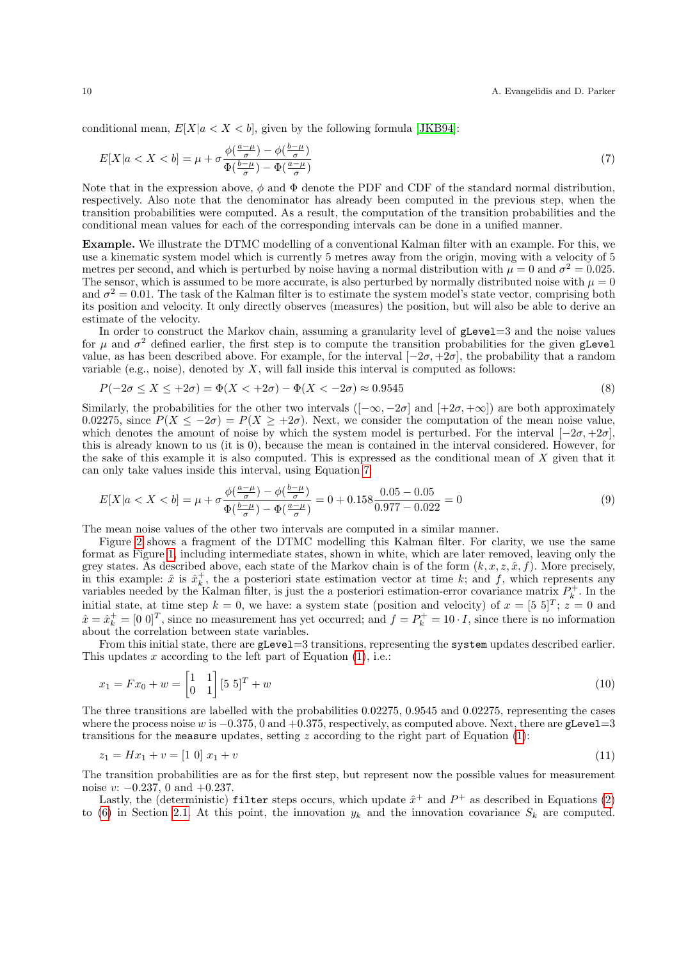conditional mean,  $E[X|a < X < b]$ , given by the following formula [\[JKB94\]](#page-24-25):

<span id="page-10-0"></span>
$$
E[X|a < X < b] = \mu + \sigma \frac{\phi(\frac{a-\mu}{\sigma}) - \phi(\frac{b-\mu}{\sigma})}{\Phi(\frac{b-\mu}{\sigma}) - \Phi(\frac{a-\mu}{\sigma})}
$$
\n<sup>(7)</sup>

Note that in the expression above,  $\phi$  and  $\Phi$  denote the PDF and CDF of the standard normal distribution, respectively. Also note that the denominator has already been computed in the previous step, when the transition probabilities were computed. As a result, the computation of the transition probabilities and the conditional mean values for each of the corresponding intervals can be done in a unified manner.

Example. We illustrate the DTMC modelling of a conventional Kalman filter with an example. For this, we use a kinematic system model which is currently 5 metres away from the origin, moving with a velocity of 5 metres per second, and which is perturbed by noise having a normal distribution with  $\mu = 0$  and  $\sigma^2 = 0.025$ . The sensor, which is assumed to be more accurate, is also perturbed by normally distributed noise with  $\mu = 0$ and  $\sigma^2 = 0.01$ . The task of the Kalman filter is to estimate the system model's state vector, comprising both its position and velocity. It only directly observes (measures) the position, but will also be able to derive an estimate of the velocity.

In order to construct the Markov chain, assuming a granularity level of gLevel = 3 and the noise values for  $\mu$  and  $\sigma^2$  defined earlier, the first step is to compute the transition probabilities for the given gLevel value, as has been described above. For example, for the interval  $[-2\sigma, +2\sigma]$ , the probability that a random variable (e.g., noise), denoted by  $X$ , will fall inside this interval is computed as follows:

$$
P(-2\sigma \le X \le +2\sigma) = \Phi(X < +2\sigma) - \Phi(X < -2\sigma) \approx 0.9545
$$
\n(8)

Similarly, the probabilities for the other two intervals  $([-\infty, -2\sigma]$  and  $[+2\sigma, +\infty]$  are both approximately 0.02275, since  $P(X \le -2\sigma) = P(X \ge +2\sigma)$ . Next, we consider the computation of the mean noise value, which denotes the amount of noise by which the system model is perturbed. For the interval  $[-2\sigma, +2\sigma]$ , this is already known to us (it is 0), because the mean is contained in the interval considered. However, for the sake of this example it is also computed. This is expressed as the conditional mean of X given that it can only take values inside this interval, using Equation [7:](#page-10-0)

$$
E[X|a < X < b] = \mu + \sigma \frac{\phi(\frac{a-\mu}{\sigma}) - \phi(\frac{b-\mu}{\sigma})}{\Phi(\frac{b-\mu}{\sigma}) - \Phi(\frac{a-\mu}{\sigma})} = 0 + 0.158 \frac{0.05 - 0.05}{0.977 - 0.022} = 0
$$
\n(9)

The mean noise values of the other two intervals are computed in a similar manner.

Figure [2](#page-11-0) shows a fragment of the DTMC modelling this Kalman filter. For clarity, we use the same format as Figure [1,](#page-8-0) including intermediate states, shown in white, which are later removed, leaving only the grey states. As described above, each state of the Markov chain is of the form  $(k, x, z, \hat{x}, f)$ . More precisely, in this example:  $\hat{x}$  is  $\hat{x}_k^+$ , the a posteriori state estimation vector at time k; and f, which represents any variables needed by the Kalman filter, is just the a posteriori estimation-error covariance matrix  $P_k^+$ . In the initial state, at time step  $k = 0$ , we have: a system state (position and velocity) of  $x = \begin{bmatrix} 5 & 5 \end{bmatrix}^T$ ;  $z = 0$  and  $\hat{x} = \hat{x}_k^+ = [0 \ 0]^T$ , since no measurement has yet occurred; and  $f = P_k^+ = 10 \cdot I$ , since there is no information about the correlation between state variables.

From this initial state, there are gLevel=3 transitions, representing the system updates described earlier. This updates x according to the left part of Equation  $(1)$ , i.e.:

$$
x_1 = Fx_0 + w = \begin{bmatrix} 1 & 1 \\ 0 & 1 \end{bmatrix} [5 \ 5]^T + w \tag{10}
$$

The three transitions are labelled with the probabilities 0.02275, 0.9545 and 0.02275, representing the cases where the process noise w is  $-0.375$ , 0 and  $+0.375$ , respectively, as computed above. Next, there are gLevel=3 transitions for the measure updates, setting z according to the right part of Equation  $(1)$ :

$$
z_1 = Hx_1 + v = [1 \ 0] \ x_1 + v \tag{11}
$$

The transition probabilities are as for the first step, but represent now the possible values for measurement noise v: −0.237, 0 and +0.237.

Lastly, the (deterministic) filter steps occurs, which update  $\hat{x}^+$  and  $P^+$  as described in Equations [\(2\)](#page-3-2) to [\(6\)](#page-4-0) in Section [2.1.](#page-3-0) At this point, the innovation  $y_k$  and the innovation covariance  $S_k$  are computed.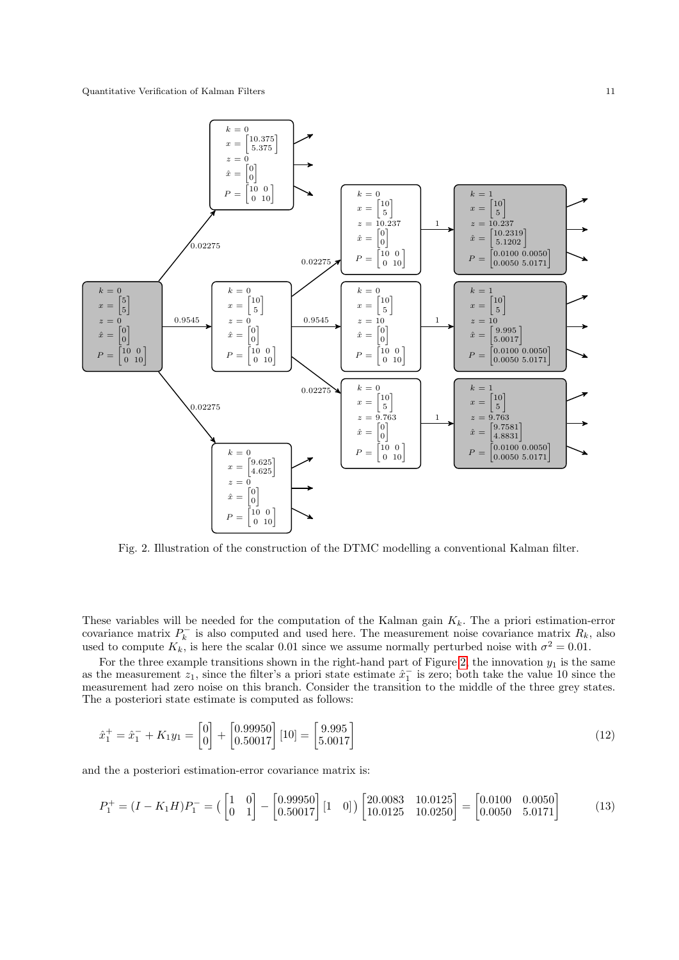Quantitative Verification of Kalman Filters 11

<span id="page-11-0"></span>

Fig. 2. Illustration of the construction of the DTMC modelling a conventional Kalman filter.

These variables will be needed for the computation of the Kalman gain  $K_k$ . The a priori estimation-error covariance matrix  $P_k^-$  is also computed and used here. The measurement noise covariance matrix  $R_k$ , also used to compute  $K_k$ , is here the scalar 0.01 since we assume normally perturbed noise with  $\sigma^2 = 0.01$ .

For the three example transitions shown in the right-hand part of Figure [2,](#page-11-0) the innovation  $y_1$  is the same as the measurement  $z_1$ , since the filter's a priori state estimate  $\hat{x}_1^-$  is zero; both take the value 10 since the measurement had zero noise on this branch. Consider the transition to the middle of the three grey states. The a posteriori state estimate is computed as follows:

$$
\hat{x}_1^+ = \hat{x}_1^- + K_1 y_1 = \begin{bmatrix} 0 \\ 0 \end{bmatrix} + \begin{bmatrix} 0.99950 \\ 0.50017 \end{bmatrix} [10] = \begin{bmatrix} 9.995 \\ 5.0017 \end{bmatrix}
$$
\n(12)

and the a posteriori estimation-error covariance matrix is:

$$
P_1^+ = (I - K_1 H)P_1^- = \begin{pmatrix} 1 & 0 \ 0 & 1 \end{pmatrix} - \begin{bmatrix} 0.99950 \ 0.50017 \end{bmatrix} \begin{bmatrix} 1 & 0 \end{bmatrix} \begin{bmatrix} 20.0083 & 10.0125 \ 10.0125 & 10.0250 \end{bmatrix} = \begin{bmatrix} 0.0100 & 0.0050 \ 0.0050 & 5.0171 \end{bmatrix}
$$
(13)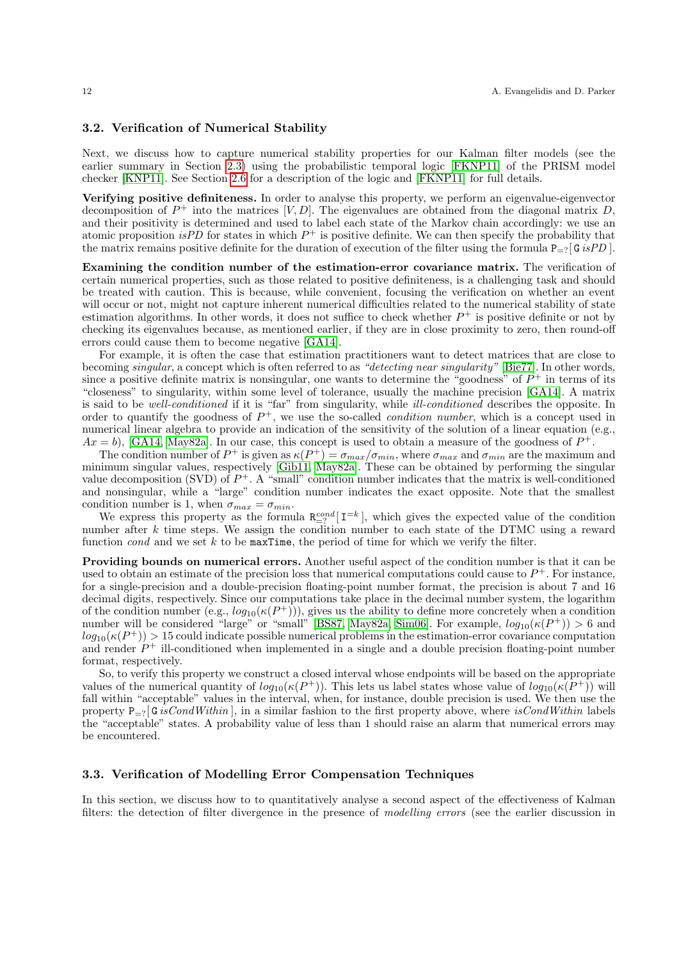#### <span id="page-12-0"></span>3.2. Verification of Numerical Stability

Next, we discuss how to capture numerical stability properties for our Kalman filter models (see the earlier summary in Section [2.3\)](#page-4-1) using the probabilistic temporal logic [\[FKNP11\]](#page-24-5) of the PRISM model checker [\[KNP11\]](#page-25-3). See Section [2.6](#page-7-0) for a description of the logic and [\[FKNP11\]](#page-24-5) for full details.

Verifying positive definiteness. In order to analyse this property, we perform an eigenvalue-eigenvector decomposition of  $P^+$  into the matrices  $[V, D]$ . The eigenvalues are obtained from the diagonal matrix D, and their positivity is determined and used to label each state of the Markov chain accordingly: we use an atomic proposition is PD for states in which  $P^+$  is positive definite. We can then specify the probability that the matrix remains positive definite for the duration of execution of the filter using the formula  $P_{=?}[G \text{ is } PD]$ .

Examining the condition number of the estimation-error covariance matrix. The verification of certain numerical properties, such as those related to positive definiteness, is a challenging task and should be treated with caution. This is because, while convenient, focusing the verification on whether an event will occur or not, might not capture inherent numerical difficulties related to the numerical stability of state estimation algorithms. In other words, it does not suffice to check whether  $P^+$  is positive definite or not by checking its eigenvalues because, as mentioned earlier, if they are in close proximity to zero, then round-off errors could cause them to become negative [\[GA14\]](#page-24-1).

For example, it is often the case that estimation practitioners want to detect matrices that are close to becoming singular, a concept which is often referred to as "detecting near singularity" [\[Bie77\]](#page-24-22). In other words, since a positive definite matrix is nonsingular, one wants to determine the "goodness" of  $\vec{P}^+$  in terms of its "closeness" to singularity, within some level of tolerance, usually the machine precision [\[GA14\]](#page-24-1). A matrix is said to be well-conditioned if it is "far" from singularity, while *ill-conditioned* describes the opposite. In order to quantify the goodness of  $P^+$ , we use the so-called *condition number*, which is a concept used in numerical linear algebra to provide an indication of the sensitivity of the solution of a linear equation (e.g.,  $Ax = b$ ), [\[GA14,](#page-24-1) [May82a\]](#page-25-0). In our case, this concept is used to obtain a measure of the goodness of  $P^+$ .

The condition number of  $P^+$  is given as  $\kappa(P^+) = \sigma_{max}/\sigma_{min}$ , where  $\sigma_{max}$  and  $\sigma_{min}$  are the maximum and minimum singular values, respectively [\[Gib11,](#page-24-2) [May82a\]](#page-25-0). These can be obtained by performing the singular value decomposition (SVD) of  $P^+$ . A "small" condition number indicates that the matrix is well-conditioned and nonsingular, while a "large" condition number indicates the exact opposite. Note that the smallest condition number is 1, when  $\sigma_{max} = \sigma_{min}$ .

We express this property as the formula  $\mathbb{R}^{cond}_{=?}[\mathbf{I}^{=k}]$ , which gives the expected value of the condition number after k time steps. We assign the condition number to each state of the DTMC using a reward function cond and we set  $k$  to be maxTime, the period of time for which we verify the filter.

Providing bounds on numerical errors. Another useful aspect of the condition number is that it can be used to obtain an estimate of the precision loss that numerical computations could cause to  $P^+$ . For instance, for a single-precision and a double-precision floating-point number format, the precision is about 7 and 16 decimal digits, respectively. Since our computations take place in the decimal number system, the logarithm of the condition number (e.g.,  $log_{10}(\kappa(P^+))$ ), gives us the ability to define more concretely when a condition number will be considered "large" or "small" [\[BS87,](#page-24-26) [May82a,](#page-25-0) [Sim06\]](#page-25-1). For example,  $log_{10}(\kappa(P^+)) > 6$  and  $log_{10}(\kappa(P^+)) > 15$  could indicate possible numerical problems in the estimation-error covariance computation and render  $P^+$  ill-conditioned when implemented in a single and a double precision floating-point number format, respectively.

So, to verify this property we construct a closed interval whose endpoints will be based on the appropriate values of the numerical quantity of  $log_{10}(\kappa(P^+))$ . This lets us label states whose value of  $log_{10}(\kappa(P^+))$  will fall within "acceptable" values in the interval, when, for instance, double precision is used. We then use the property  $P_{r}$  G is CondWithin ], in a similar fashion to the first property above, where is CondWithin labels the "acceptable" states. A probability value of less than 1 should raise an alarm that numerical errors may be encountered.

#### <span id="page-12-1"></span>3.3. Verification of Modelling Error Compensation Techniques

In this section, we discuss how to to quantitatively analyse a second aspect of the effectiveness of Kalman filters: the detection of filter divergence in the presence of modelling errors (see the earlier discussion in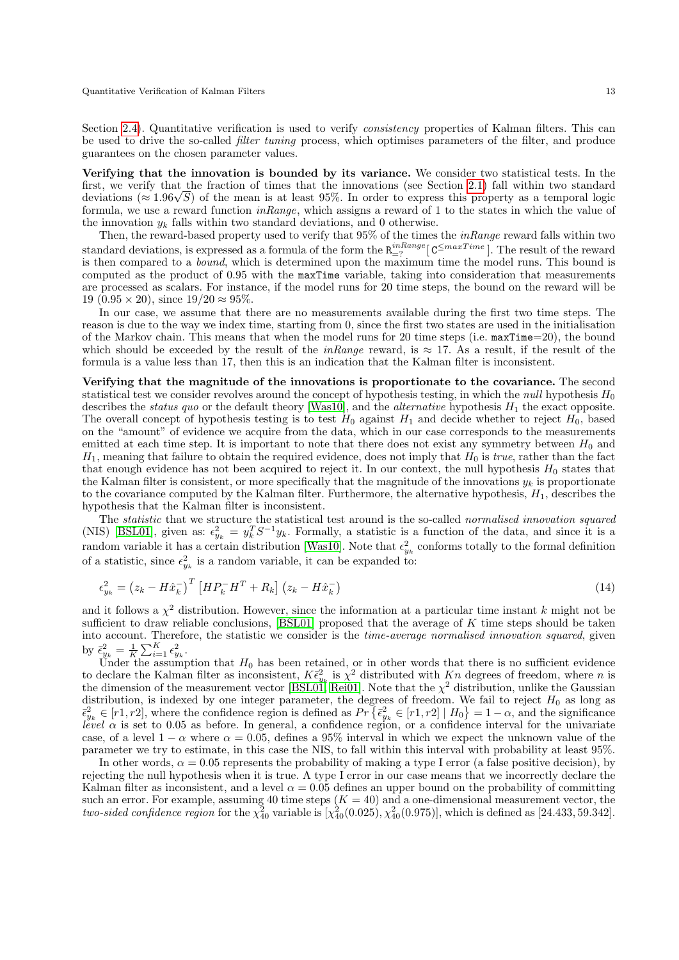Section [2.4\)](#page-5-0). Quantitative verification is used to verify *consistency* properties of Kalman filters. This can be used to drive the so-called filter tuning process, which optimises parameters of the filter, and produce guarantees on the chosen parameter values.

Verifying that the innovation is bounded by its variance. We consider two statistical tests. In the first, we verify that the fraction of times that the innovations (see Section [2.1\)](#page-3-0) fall within two standard hrst, we verify that the fraction of times that the innovations (see Section 2.1) fall within two standard deviations ( $\approx 1.96\sqrt{S}$ ) of the mean is at least 95%. In order to express this property as a temporal logic formula, we use a reward function inRange, which assigns a reward of 1 to the states in which the value of the innovation  $y_k$  falls within two standard deviations, and 0 otherwise.

Then, the reward-based property used to verify that 95% of the times the  $inRange$  reward falls within two standard deviations, is expressed as a formula of the form the  $\mathbb{R}^{inRange}_{=?}$  [C<sup> $\leq maxTime$ </sup>]. The result of the reward is then compared to a bound, which is determined upon the maximum time the model runs. This bound is computed as the product of 0.95 with the maxTime variable, taking into consideration that measurements are processed as scalars. For instance, if the model runs for 20 time steps, the bound on the reward will be 19 (0.95  $\times$  20), since 19/20  $\approx$  95%.

In our case, we assume that there are no measurements available during the first two time steps. The reason is due to the way we index time, starting from 0, since the first two states are used in the initialisation of the Markov chain. This means that when the model runs for 20 time steps (i.e. maxTime=20), the bound which should be exceeded by the result of the *inRange* reward, is  $\approx 17$ . As a result, if the result of the formula is a value less than 17, then this is an indication that the Kalman filter is inconsistent.

Verifying that the magnitude of the innovations is proportionate to the covariance. The second statistical test we consider revolves around the concept of hypothesis testing, in which the *null* hypothesis  $H_0$ describes the *status quo* or the default theory [\[Was10\]](#page-25-14), and the *alternative* hypothesis  $H_1$  the exact opposite. The overall concept of hypothesis testing is to test  $H_0$  against  $H_1$  and decide whether to reject  $H_0$ , based on the "amount" of evidence we acquire from the data, which in our case corresponds to the measurements emitted at each time step. It is important to note that there does not exist any symmetry between  $H_0$  and  $H_1$ , meaning that failure to obtain the required evidence, does not imply that  $H_0$  is true, rather than the fact that enough evidence has not been acquired to reject it. In our context, the null hypothesis  $H_0$  states that the Kalman filter is consistent, or more specifically that the magnitude of the innovations  $y_k$  is proportionate to the covariance computed by the Kalman filter. Furthermore, the alternative hypothesis,  $H_1$ , describes the hypothesis that the Kalman filter is inconsistent.

The *statistic* that we structure the statistical test around is the so-called *normalised innovation squared* (NIS) [\[BSL01\]](#page-24-3), given as:  $\epsilon_{y_k}^2 = y_k^T S^{-1} y_k$ . Formally, a statistic is a function of the data, and since it is a random variable it has a certain distribution [\[Was10\]](#page-25-14). Note that  $\epsilon_{y_k}^2$  conforms totally to the formal definition of a statistic, since  $\epsilon_{y_k}^2$  is a random variable, it can be expanded to:

$$
\epsilon_{y_k}^2 = \left(z_k - H\hat{x}_k^-\right)^T \left[HP_k^-H^T + R_k\right] \left(z_k - H\hat{x}_k^-\right) \tag{14}
$$

and it follows a  $\chi^2$  distribution. However, since the information at a particular time instant k might not be sufficient to draw reliable conclusions, [\[BSL01\]](#page-24-3) proposed that the average of  $K$  time steps should be taken into account. Therefore, the statistic we consider is the time-average normalised innovation squared, given by  $\bar{\epsilon}_{y_k}^2 = \frac{1}{K} \sum_{i=1}^K \epsilon_{y_k}^2$ .

Under the assumption that  $H_0$  has been retained, or in other words that there is no sufficient evidence to declare the Kalman filter as inconsistent,  $K\bar{\epsilon}_{y_k}^2$  is  $\chi^2$  distributed with Kn degrees of freedom, where n is the dimension of the measurement vector [\[BSL01,](#page-24-3) [Rei01\]](#page-25-15). Note that the  $\chi^2$  distribution, unlike the Gaussian distribution, is indexed by one integer parameter, the degrees of freedom. We fail to reject  $H_0$  as long as  $\bar{\epsilon}_{y_k}^2 \in [r_1, r_2]$ , where the confidence region is defined as  $Pr\{\bar{\epsilon}_{y_k}^2 \in [r_1, r_2] \mid H_0\} = 1 - \alpha$ , and the significance *level*  $\alpha$  is set to 0.05 as before. In general, a confidence region, or a confidence interval for the univariate case, of a level  $1 - \alpha$  where  $\alpha = 0.05$ , defines a 95% interval in which we expect the unknown value of the parameter we try to estimate, in this case the NIS, to fall within this interval with probability at least 95%.

In other words,  $\alpha = 0.05$  represents the probability of making a type I error (a false positive decision), by rejecting the null hypothesis when it is true. A type I error in our case means that we incorrectly declare the Kalman filter as inconsistent, and a level  $\alpha = 0.05$  defines an upper bound on the probability of committing such an error. For example, assuming 40 time steps  $(K = 40)$  and a one-dimensional measurement vector, the two-sided confidence region for the  $\chi^2_{40}$  variable is  $[\chi^2_{40}(0.025), \chi^2_{40}(0.975)]$ , which is defined as [24.433, 59.342].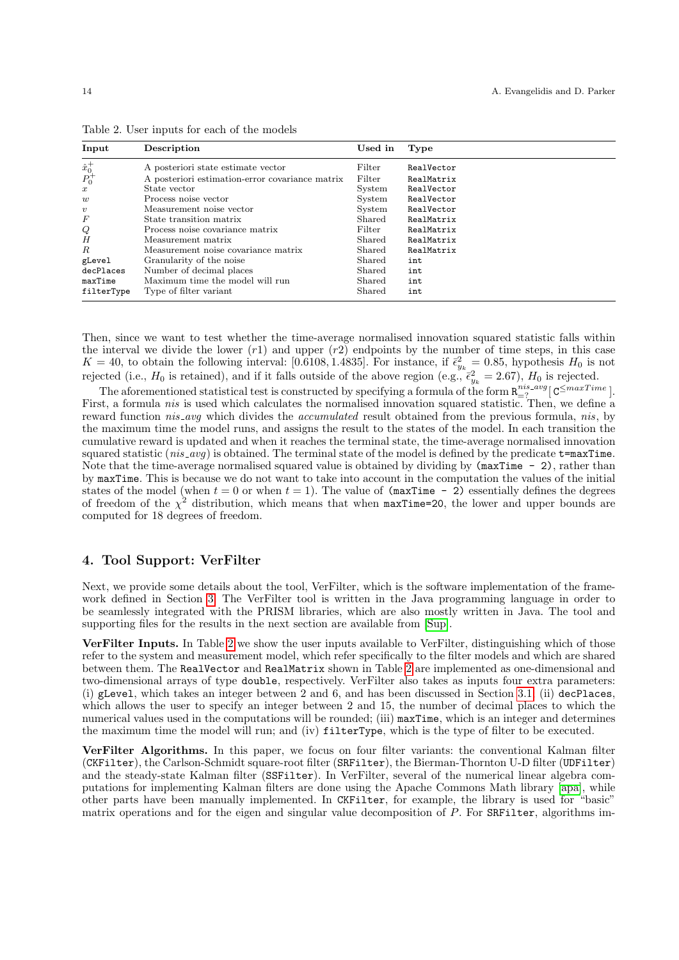| Input                       | Description                                     | Used in | Type       |
|-----------------------------|-------------------------------------------------|---------|------------|
| $\hat{x}_{0+}^+$<br>$P_0^+$ | A posteriori state estimate vector              | Filter  | RealVector |
|                             | A posteriori estimation-error covariance matrix | Filter  | RealMatrix |
| $\boldsymbol{x}$            | State vector                                    | System  | RealVector |
| w                           | Process noise vector                            | System  | RealVector |
| $\boldsymbol{v}$            | Measurement noise vector                        | System  | RealVector |
| F                           | State transition matrix                         | Shared  | RealMatrix |
| Q                           | Process noise covariance matrix                 | Filter  | RealMatrix |
| H                           | Measurement matrix                              | Shared  | RealMatrix |
| $\boldsymbol{R}$            | Measurement noise covariance matrix             | Shared  | RealMatrix |
| gLevel                      | Granularity of the noise                        | Shared  | int        |
| decPlaces                   | Number of decimal places                        | Shared  | int        |
| maxTime                     | Maximum time the model will run                 | Shared  | int        |
| filterType                  | Type of filter variant                          | Shared  | int        |

<span id="page-14-1"></span>Table 2. User inputs for each of the models

Then, since we want to test whether the time-average normalised innovation squared statistic falls within the interval we divide the lower  $(r1)$  and upper  $(r2)$  endpoints by the number of time steps, in this case  $K = 40$ , to obtain the following interval: [0.6108, 1.4835]. For instance, if  $\bar{\epsilon}_{y_k}^2 = 0.85$ , hypothesis  $H_0$  is not rejected (i.e.,  $H_0$  is retained), and if it falls outside of the above region (e.g.,  $\bar{\epsilon}_{y_k}^2 = 2.67$ ),  $H_0$  is rejected.

The aforementioned statistical test is constructed by specifying a formula of the form  $\mathbb{R}^{nis. avg}_{= ?}$  [C<sup> $\leq maxTime$ </sup>]. First, a formula nis is used which calculates the normalised innovation squared statistic. Then, we define a reward function *nis\_avg* which divides the *accumulated* result obtained from the previous formula, *nis*, by the maximum time the model runs, and assigns the result to the states of the model. In each transition the cumulative reward is updated and when it reaches the terminal state, the time-average normalised innovation squared statistic (*nis\_avg*) is obtained. The terminal state of the model is defined by the predicate  $t = maxTime$ . Note that the time-average normalised squared value is obtained by dividing by  $(\text{maxTime} - 2)$ , rather than by maxTime. This is because we do not want to take into account in the computation the values of the initial states of the model (when  $t = 0$  or when  $t = 1$ ). The value of (maxTime - 2) essentially defines the degrees of freedom of the  $\chi^2$  distribution, which means that when maxTime=20, the lower and upper bounds are computed for 18 degrees of freedom.

#### <span id="page-14-0"></span>4. Tool Support: VerFilter

Next, we provide some details about the tool, VerFilter, which is the software implementation of the framework defined in Section [3.](#page-7-1) The VerFilter tool is written in the Java programming language in order to be seamlessly integrated with the PRISM libraries, which are also mostly written in Java. The tool and supporting files for the results in the next section are available from [\[Sup\]](#page-25-16).

VerFilter Inputs. In Table [2](#page-14-1) we show the user inputs available to VerFilter, distinguishing which of those refer to the system and measurement model, which refer specifically to the filter models and which are shared between them. The RealVector and RealMatrix shown in Table [2](#page-14-1) are implemented as one-dimensional and two-dimensional arrays of type double, respectively. VerFilter also takes as inputs four extra parameters: (i) gLevel, which takes an integer between 2 and 6, and has been discussed in Section [3.1;](#page-8-1) (ii) decPlaces, which allows the user to specify an integer between 2 and 15, the number of decimal places to which the numerical values used in the computations will be rounded; (iii) maxTime, which is an integer and determines the maximum time the model will run; and (iv) filterType, which is the type of filter to be executed.

VerFilter Algorithms. In this paper, we focus on four filter variants: the conventional Kalman filter (CKFilter), the Carlson-Schmidt square-root filter (SRFilter), the Bierman-Thornton U-D filter (UDFilter) and the steady-state Kalman filter (SSFilter). In VerFilter, several of the numerical linear algebra computations for implementing Kalman filters are done using the Apache Commons Math library [\[apa\]](#page-24-27), while other parts have been manually implemented. In CKFilter, for example, the library is used for "basic" matrix operations and for the eigen and singular value decomposition of  $P$ . For SRFilter, algorithms im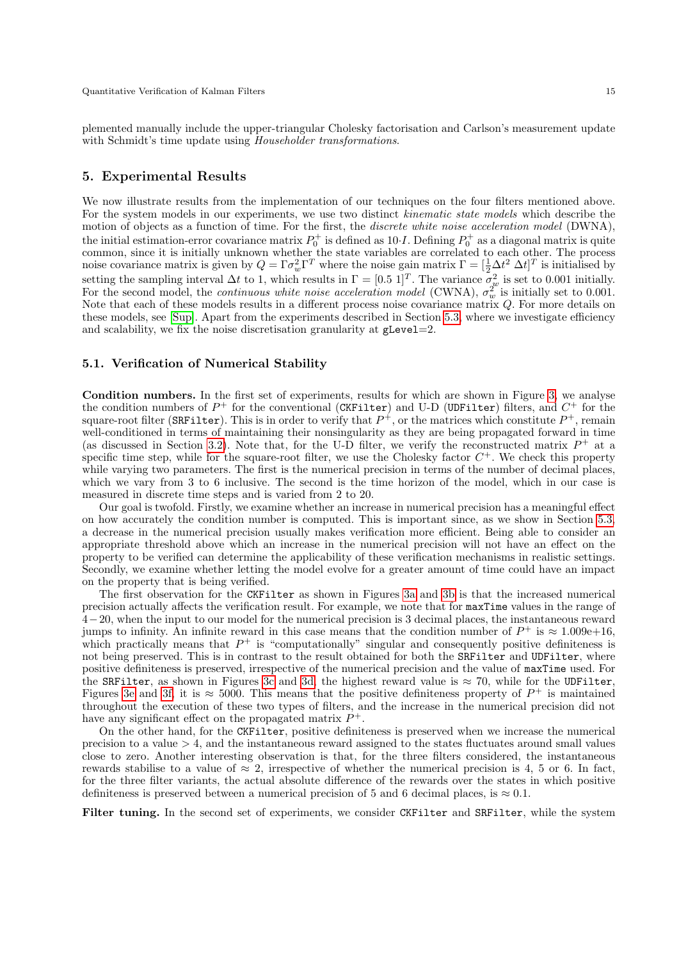plemented manually include the upper-triangular Cholesky factorisation and Carlson's measurement update with Schmidt's time update using *Householder transformations*.

#### 5. Experimental Results

We now illustrate results from the implementation of our techniques on the four filters mentioned above. For the system models in our experiments, we use two distinct kinematic state models which describe the motion of objects as a function of time. For the first, the *discrete white noise acceleration model* (DWNA), the initial estimation-error covariance matrix  $P_0^+$  is defined as 10 $\cdot I$ . Defining  $P_0^+$  as a diagonal matrix is quite common, since it is initially unknown whether the state variables are correlated to each other. The process noise covariance matrix is given by  $Q = \Gamma \sigma_w^2 \Gamma^T$  where the noise gain matrix  $\Gamma = [\frac{1}{2} \Delta t^2 \Delta t]^T$  is initialised by setting the sampling interval  $\Delta t$  to 1, which results in  $\Gamma = [0.5 \; 1]^T$ . The variance  $\sigma_{\omega}^2$  is set to 0.001 initially. For the second model, the *continuous white noise acceleration model* (CWNA),  $\sigma_w^2$  is initially set to 0.001. Note that each of these models results in a different process noise covariance matrix Q. For more details on these models, see [\[Sup\]](#page-25-16). Apart from the experiments described in Section [5.3,](#page-22-0) where we investigate efficiency and scalability, we fix the noise discretisation granularity at gLevel=2.

#### <span id="page-15-0"></span>5.1. Verification of Numerical Stability

Condition numbers. In the first set of experiments, results for which are shown in Figure [3,](#page-16-0) we analyse the condition numbers of  $P^+$  for the conventional (CKFilter) and U-D (UDFilter) filters, and  $C^+$  for the square-root filter (SRFilter). This is in order to verify that  $P^+$ , or the matrices which constitute  $P^+$ , remain well-conditioned in terms of maintaining their nonsingularity as they are being propagated forward in time (as discussed in Section [3.2\)](#page-12-0). Note that, for the U-D filter, we verify the reconstructed matrix  $P^+$  at a specific time step, while for the square-root filter, we use the Cholesky factor  $C^+$ . We check this property while varying two parameters. The first is the numerical precision in terms of the number of decimal places, which we vary from 3 to 6 inclusive. The second is the time horizon of the model, which in our case is measured in discrete time steps and is varied from 2 to 20.

Our goal is twofold. Firstly, we examine whether an increase in numerical precision has a meaningful effect on how accurately the condition number is computed. This is important since, as we show in Section [5.3,](#page-22-0) a decrease in the numerical precision usually makes verification more efficient. Being able to consider an appropriate threshold above which an increase in the numerical precision will not have an effect on the property to be verified can determine the applicability of these verification mechanisms in realistic settings. Secondly, we examine whether letting the model evolve for a greater amount of time could have an impact on the property that is being verified.

The first observation for the CKFilter as shown in Figures [3a](#page-16-0) and [3b](#page-16-0) is that the increased numerical precision actually affects the verification result. For example, we note that for maxTime values in the range of 4−20, when the input to our model for the numerical precision is 3 decimal places, the instantaneous reward jumps to infinity. An infinite reward in this case means that the condition number of  $P^+$  is  $\approx 1.009e+16$ , which practically means that  $P^+$  is "computationally" singular and consequently positive definiteness is not being preserved. This is in contrast to the result obtained for both the SRFilter and UDFilter, where positive definiteness is preserved, irrespective of the numerical precision and the value of maxTime used. For the SRFilter, as shown in Figures [3c](#page-16-0) and [3d,](#page-16-0) the highest reward value is  $\approx$  70, while for the UDFilter. Figures [3e](#page-16-0) and [3f,](#page-16-0) it is  $\approx 5000$ . This means that the positive definiteness property of  $P^+$  is maintained throughout the execution of these two types of filters, and the increase in the numerical precision did not have any significant effect on the propagated matrix  $P^+$ .

On the other hand, for the CKFilter, positive definiteness is preserved when we increase the numerical precision to a value > 4, and the instantaneous reward assigned to the states fluctuates around small values close to zero. Another interesting observation is that, for the three filters considered, the instantaneous rewards stabilise to a value of  $\approx 2$ , irrespective of whether the numerical precision is 4, 5 or 6. In fact, for the three filter variants, the actual absolute difference of the rewards over the states in which positive definiteness is preserved between a numerical precision of 5 and 6 decimal places, is  $\approx 0.1$ .

Filter tuning. In the second set of experiments, we consider CKFilter and SRFilter, while the system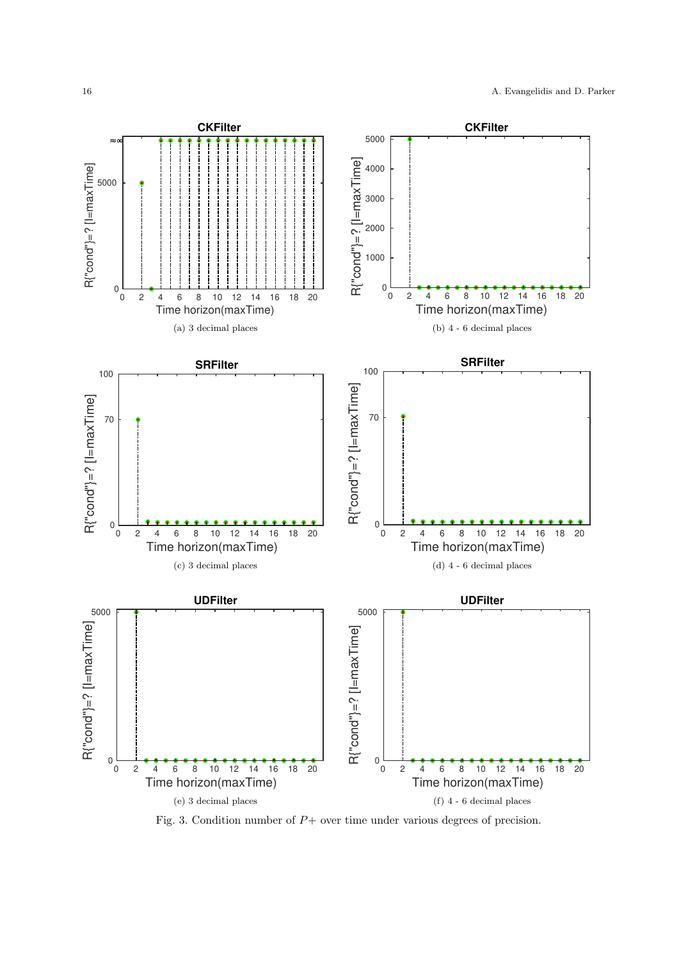<span id="page-16-0"></span>

Fig. 3. Condition number of  $P+$  over time under various degrees of precision.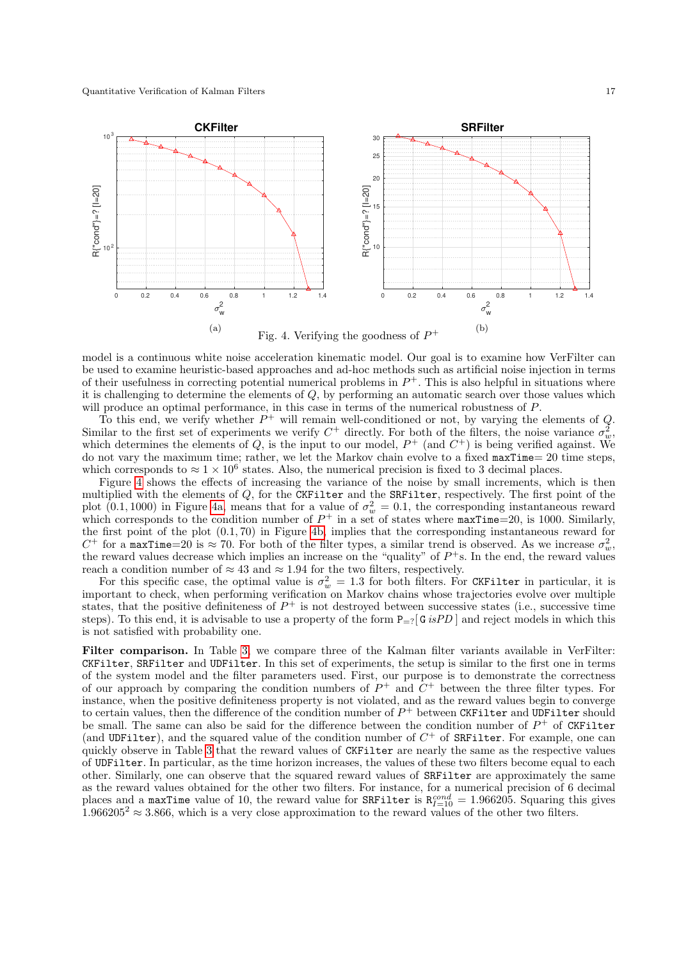<span id="page-17-0"></span>

model is a continuous white noise acceleration kinematic model. Our goal is to examine how VerFilter can be used to examine heuristic-based approaches and ad-hoc methods such as artificial noise injection in terms of their usefulness in correcting potential numerical problems in  $P^+$ . This is also helpful in situations where it is challenging to determine the elements of Q, by performing an automatic search over those values which will produce an optimal performance, in this case in terms of the numerical robustness of P.

To this end, we verify whether  $P^+$  will remain well-conditioned or not, by varying the elements of Q. Similar to the first set of experiments we verify  $C^+$  directly. For both of the filters, the noise variance  $\sigma_w^2$ , which determines the elements of Q, is the input to our model,  $P^+$  (and  $C^+$ ) is being verified against. We do not vary the maximum time; rather, we let the Markov chain evolve to a fixed maxTime= 20 time steps, which corresponds to  $\approx 1 \times 10^6$  states. Also, the numerical precision is fixed to 3 decimal places.

Figure [4](#page-17-0) shows the effects of increasing the variance of the noise by small increments, which is then multiplied with the elements of  $Q$ , for the CKFilter and the SRFilter, respectively. The first point of the plot (0.1, 1000) in Figure [4a,](#page-17-0) means that for a value of  $\sigma_w^2 = 0.1$ , the corresponding instantaneous reward which corresponds to the condition number of  $P^+$  in a set of states where  $\text{maxTime}=20$ , is 1000. Similarly, the first point of the plot (0.1, 70) in Figure [4b,](#page-17-0) implies that the corresponding instantaneous reward for C<sup>+</sup> for a maxTime=20 is  $\approx$  70. For both of the filter types, a similar trend is observed. As we increase  $\sigma_w^2$ , the reward values decrease which implies an increase on the "quality" of  $P^+$ s. In the end, the reward values reach a condition number of  $\approx 43$  and  $\approx 1.94$  for the two filters, respectively.

For this specific case, the optimal value is  $\sigma_w^2 = 1.3$  for both filters. For CKFilter in particular, it is important to check, when performing verification on Markov chains whose trajectories evolve over multiple states, that the positive definiteness of  $P^+$  is not destroyed between successive states (i.e., successive time steps). To this end, it is advisable to use a property of the form  $P_{=?}[G \text{ is } PD]$  and reject models in which this is not satisfied with probability one.

Filter comparison. In Table [3,](#page-18-0) we compare three of the Kalman filter variants available in VerFilter: CKFilter, SRFilter and UDFilter. In this set of experiments, the setup is similar to the first one in terms of the system model and the filter parameters used. First, our purpose is to demonstrate the correctness of our approach by comparing the condition numbers of  $P^+$  and  $C^+$  between the three filter types. For instance, when the positive definiteness property is not violated, and as the reward values begin to converge to certain values, then the difference of the condition number of  $P^+$  between CKFilter and UDFilter should be small. The same can also be said for the difference between the condition number of  $P^+$  of CKFilter (and UDFilter), and the squared value of the condition number of  $C^+$  of SRFilter. For example, one can quickly observe in Table [3](#page-18-0) that the reward values of CKFilter are nearly the same as the respective values of UDFilter. In particular, as the time horizon increases, the values of these two filters become equal to each other. Similarly, one can observe that the squared reward values of SRFilter are approximately the same as the reward values obtained for the other two filters. For instance, for a numerical precision of 6 decimal places and a maxTime value of 10, the reward value for SRFilter is  $R_{I=10}^{cond} = 1.966205$ . Squaring this gives  $1.966205^2 \approx 3.866$ , which is a very close approximation to the reward values of the other two filters.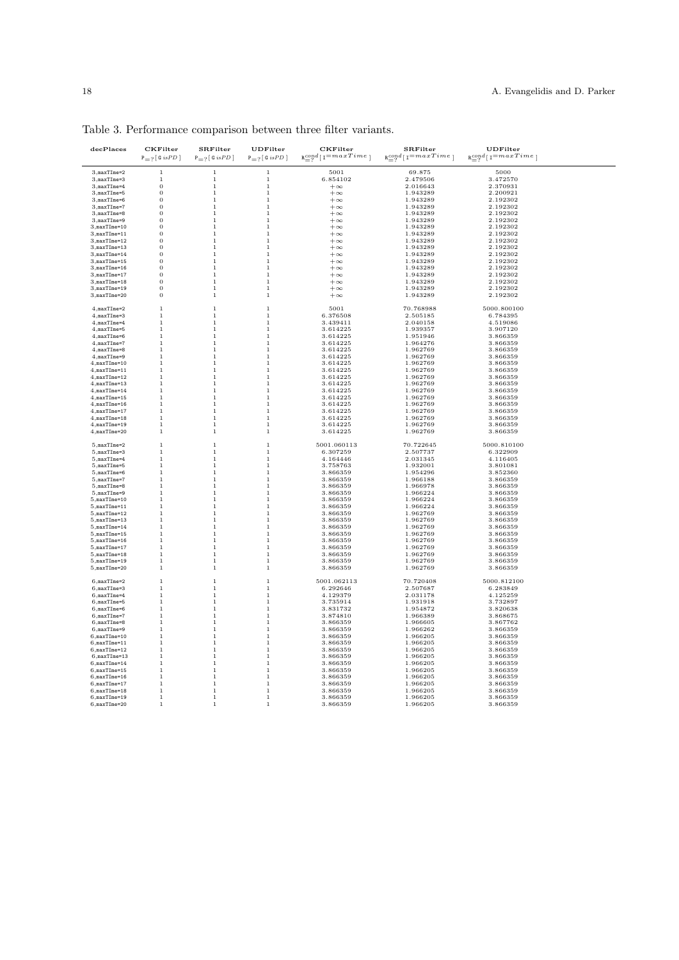| decPlaces                         | CKFilter            | SRFilter                | <b>UDFilter</b>       | <b>CKFilter</b>                         | SRFilter                                | <b>UDFilter</b>                   |  |
|-----------------------------------|---------------------|-------------------------|-----------------------|-----------------------------------------|-----------------------------------------|-----------------------------------|--|
|                                   | $P = ?$ [ G is PD ] | $P = ?$ [G is PD ]      | $P = ?$ [ G is PD ]   | $R_{\equiv ?}^{cond}$ [ $1 = maxTime$ ] | $R_{\equiv ?}^{cond}$ [ $I = maxTime$ ] | $R_{\equiv ?}^{cond}$ [I=maxTime] |  |
|                                   |                     |                         |                       |                                         |                                         |                                   |  |
| 3, maxTIme=2                      | $\mathbf{1}$        | $\mathbf{1}$            | $\mathbf{1}$          | 5001                                    | 69.875                                  | 5000                              |  |
| 3.maxTIme=3                       | $\mathbf{1}$        | $1\,$                   | $\mathbf{1}$          | 6.854102                                | 2.479506                                | 3.472570                          |  |
| 3.maxTIme=4                       | $\mathbf 0$         | $\,1\,$                 | $\mathbf{1}$          | $+\infty$                               | 2.016643                                | 2.370931                          |  |
| 3, maxTIme=5                      | $\bf{0}$            | $\,1\,$                 | $1\,$                 | $+\infty$                               | 1.943289                                | 2.200921                          |  |
| $3.$ max $T$ Tme=6                | $\Omega$            | $\mathbf{1}$            | $\mathbf{1}$          | $+\infty$                               | 1.943289                                | 2.192302                          |  |
| 3, maxTIme=7                      | $\bf{0}$            | $\,1\,$                 | $1\,$                 | $+\infty$                               | 1.943289                                | 2.192302                          |  |
| 3, maxTIme=8                      | 0                   | $\mathbf{1}$            | $\,1\,$               | $+\infty$                               | 1.943289                                | 2.192302                          |  |
| 3.maxTIme=9                       | $\Omega$            | $\mathbf{1}$            | $\mathbf{1}$          | $+\infty$                               | 1.943289                                | 2.192302                          |  |
| $3, maxTime = 10$                 | $\bf{0}$            | $\,1\,$                 | $1\,$                 | $+\infty$                               | 1.943289                                | 2.192302                          |  |
| $3, maxTime = 11$                 | $\boldsymbol{0}$    | $\,1$                   | $\mathbf{1}$          | $+\infty$                               | 1.943289                                | 2.192302                          |  |
| $3.maxTime=12$                    | $\Omega$            | $\mathbf{1}$            | $\mathbf{1}$          | $+\infty$                               | 1.943289                                | 2.192302                          |  |
| 3, maxTIme=13                     | $\overline{0}$      | $\,1$                   | $\mathbf{1}$          | $+\infty$                               | 1.943289                                | 2.192302                          |  |
|                                   | $\overline{0}$      |                         | $\mathbf{1}$          |                                         |                                         | 2.192302                          |  |
| $3, maxTime = 14$<br>3.maxTTme=15 | $\overline{0}$      | $\,1\,$<br>$\mathbf{1}$ | $\mathbf{1}$          | $+\infty$                               | 1.943289<br>1.943289                    | 2.192302                          |  |
|                                   |                     |                         |                       | $+\infty$                               |                                         |                                   |  |
| $3, maxTime = 16$                 | $\bf{0}$            | $\mathbf{1}$            | $\mathbf{1}$          | $+\infty$                               | 1.943289                                | 2.192302                          |  |
| 3.maxTIme=17                      | $\overline{0}$      | $\mathbf{1}$            | $\overline{1}$        | $+\infty$                               | 1.943289                                | 2.192302                          |  |
| $3$ , max $T$ Ime=18              | $\bf{0}$            | $\,1\,$                 | $1\,$                 | $+\infty$                               | 1.943289                                | 2.192302                          |  |
| $3$ , max $T$ Ime=19              | $\bf{0}$            | $\mathbf{1}$            | $\mathbf{1}$          | $+\infty$                               | 1.943289                                | 2.192302                          |  |
| $3.maxTime = 20$                  | $\overline{0}$      | $\mathbf{1}$            | $\overline{1}$        | $+\infty$                               | 1.943289                                | 2.192302                          |  |
|                                   |                     |                         |                       |                                         |                                         |                                   |  |
| 4.maxTIme=2                       | $\,1\,$             | $\,1\,$                 | $\overline{1}$        | 5001                                    | 70.768988                               | 5000.800100                       |  |
| 4.maxTIme=3                       | $\,1\,$             | $\,1\,$                 | $\mathbf{1}$          | 6.376508                                | 2.505185                                | 6.784395                          |  |
| 4,maxTIme=4                       | $\,1\,$             | $\mathbf{1}$            | $\,1\,$               | 3.439411                                | 2.040158                                | 4.519086                          |  |
| 4.maxTIme=5                       | $\mathbf{1}$        | $\mathbf{1}$            | $\mathbf{1}$          | 3.614225                                | 1.939357                                | 3.907120                          |  |
| 4,maxTIme=6                       | $\,1\,$             | $\,1\,$                 | $1\,$                 | 3.614225                                | 1.951946                                | 3.866359                          |  |
| 4, maxTIme=7                      | $\,1\,$             | $\,1\,$                 | $\mathbf{1}$          | 3.614225                                | 1.964276                                | 3.866359                          |  |
| 4.maxTIme=8                       | $\mathbf{1}$        | $\mathbf{1}$            | $\overline{1}$        | 3.614225                                | 1.962769                                | 3.866359                          |  |
| 4, maxTIme=9                      | $\,1\,$             | $\,1\,$                 | $\mathbf{1}$          | 3.614225                                | 1.962769                                | 3.866359                          |  |
| $4$ , max $T$ Ime=10              | $\mathbf{1}$        | $\,1\,$                 | $\mathbf{1}$          | 3.614225                                | 1.962769                                | 3.866359                          |  |
| 4.maxTTme=11                      | $\mathbf{1}$        | $\mathbf{1}$            | $\mathbf{1}$          | 3.614225                                | 1.962769                                | 3.866359                          |  |
| $4$ , max $T$ Ime=12              | $\mathbf{1}$        | $\,1\,$                 | $\mathbf{1}$          | 3.614225                                | 1.962769                                | 3.866359                          |  |
| $4$ , max $T$ Ime=13              | $\mathbf{1}$        | $1\,$                   | $\mathbf{1}$          | 3.614225                                | 1.962769                                | 3.866359                          |  |
| 4.maxTIme=14                      | $\mathbf{1}$        | $\mathbf{1}$            | $\mathbf{1}$          | 3.614225                                | 1.962769                                | 3.866359                          |  |
| 4.maxTIme=15                      | $\mathbf{1}$        | $\mathbf{1}$            | $\mathbf{1}$          | 3.614225                                | 1.962769                                | 3.866359                          |  |
| 4.maxTIme=16                      | $\mathbf{1}$        | $\mathbf{1}$            | $\mathbf{1}$          | 3.614225                                | 1.962769                                | 3.866359                          |  |
| $4$ , maxTIme=17                  | $\,1\,$             | $\,1\,$                 | $1\,$                 | 3.614225                                | 1.962769                                | 3.866359                          |  |
| $4$ , max $T$ Ime=18              | $\,1\,$             | $\,1\,$                 | $1\,$                 | 3.614225                                | 1.962769                                | 3.866359                          |  |
| 4.maxTIme=19                      | $\mathbf{1}$        | $\mathbf{1}$            | $\mathbf{1}$          | 3.614225                                | 1.962769                                | 3.866359                          |  |
| 4.maxTIme=20                      | $\mathbf{1}$        | $\mathbf{1}$            | $\mathbf{1}$          | 3.614225                                | 1.962769                                | 3.866359                          |  |
|                                   |                     |                         |                       |                                         |                                         |                                   |  |
| 5.maxTIme=2                       | $\,1\,$             | $\,1\,$                 | $1\,$                 | 5001.060113                             | 70.722645                               | 5000.810100                       |  |
| 5, maxTIme=3                      | $\,1\,$             | $\,1\,$                 | $\,1\,$               | 6.307259                                | 2.507737                                | 6.322909                          |  |
| 5.maxTIme=4                       | $\mathbf{1}$        | $\mathbf{1}$            | $\overline{1}$        | 4.164446                                | 2.031345                                | 4.116405                          |  |
| 5, maxTIme=5                      | $\,1\,$             | $\,1\,$                 | $1\,$                 | 3.758763                                | 1.932001                                | 3.801081                          |  |
| 5, maxTIme=6                      | $\,1\,$             | $\,1$                   | $\mathbf{1}$          | 3.866359                                | 1.954296                                | 3.852360                          |  |
| 5.maxTIme=7                       | $\mathbf{1}$        | $\mathbf{1}$            | $\mathbf{1}$          | 3.866359                                | 1.966188                                | 3.866359                          |  |
| 5, maxTIme=8                      | $\mathbf{1}$        | $\,1$                   | 1                     | 3.866359                                | 1.966978                                | 3.866359                          |  |
| 5, maxTIme=9                      | $\mathbf{1}$        | $\,1$                   | $\mathbf{1}$          | 3.866359                                | 1.966224                                | 3.866359                          |  |
| $5 \text{ max}$ TIme=10           | $\mathbf{1}$        | $\mathbf{1}$            | $\mathbf{1}$          | 3.866359                                | 1.966224                                | 3.866359                          |  |
| 5.maxTIme=11                      | $\mathbf{1}$        | $\mathbf{1}$            | $\mathbf{1}$          | 3.866359                                | 1.966224                                | 3.866359                          |  |
| 5.maxTIme=12                      | $\mathbf{1}$        | $\mathbf{1}$            | $\mathbf{1}$          | 3.866359                                | 1.962769                                | 3.866359                          |  |
|                                   |                     |                         |                       |                                         |                                         |                                   |  |
| 5.maxTIme=13                      | $\,1\,$             | $\,1\,$                 | $1\,$                 | 3.866359                                | 1.962769                                | 3.866359                          |  |
| 5.maxTIme=14                      | $\,1\,$             | $\,1\,$                 | $\,1\,$               | 3.866359                                | 1.962769                                | 3.866359                          |  |
| 5, maxTIme=15                     | $\mathbf{1}$        | $\mathbf{1}$            | 1                     | 3.866359                                | 1.962769                                | 3.866359                          |  |
| $5$ , max $T$ Ime=16              | $\,1\,$             | $\,1\,$                 | $1\,$<br>$\mathbf{1}$ | 3.866359                                | 1.962769                                | 3.866359                          |  |
| $5, maxTime = 17$                 | $\,1\,$             | $\,1\,$                 |                       | 3.866359                                | 1.962769                                | 3.866359                          |  |
| 5.maxTIme=18                      | $\,1\,$             | $\,1\,$                 | $\mathbf{1}$          | 3.866359                                | 1.962769                                | 3.866359                          |  |
| $5$ , max $T$ Ime=19              | $\,1\,$             | $\mathbf{1}$            | $\,1\,$               | 3.866359                                | 1.962769                                | 3.866359                          |  |
| 5, maxTIme=20                     | $\mathbf{1}$        | $\mathbf{1}$            | 1                     | 3.866359                                | 1.962769                                | 3.866359                          |  |
|                                   |                     |                         |                       |                                         |                                         |                                   |  |
| $6, maxTime=2$                    | $\,1\,$             | $\,1\,$                 | $1\,$                 | 5001.062113                             | 70.720408                               | 5000.812100                       |  |
| 6.maxTIme=3                       | $\mathbf{1}$        | $\mathbf{1}$            | $\mathbf{1}$          | 6.292646                                | 2.507687                                | 6.283849                          |  |
| $6$ , max $T$ Ime=4               | $\,1\,$             | $\,1\,$                 | $1\,$                 | 4.129379                                | 2.031178                                | 4.125259                          |  |
| $6, maxTime = 5$                  | $\,1$               | $\,1$                   | $\mathbf{1}$          | 3.735914                                | 1.931918                                | 3.732897                          |  |
| 6.maxTTme=6                       | $\mathbf{1}$        | $\mathbf{1}$            | $\overline{1}$        | 3.831732                                | 1.954872                                | 3.820638                          |  |
| 6, maxTIme=7                      | $\,1$               | $\,1$                   | $\mathbf{1}$          | 3.874810                                | 1.966389                                | 3.868675                          |  |
| 6.maxTIme=8                       | $\mathbf{1}$        | $\mathbf{1}$            | $\mathbf{1}$          | 3.866359                                | 1.966605                                | 3.867762                          |  |
| 6.maxTTme=9                       | $\,1\,$             | $\mathbf{1}$            | $\mathbf{1}$          | 3.866359                                | 1.966262                                | 3.866359                          |  |
| 6.maxTIme=10                      | $\mathbf{1}$        | $\mathbf{1}$            | $\mathbf{1}$          | 3.866359                                | 1.966205                                | 3.866359                          |  |
| 6.maxTIme=11                      | 1                   | 1                       | $\overline{1}$        | 3.866359                                | 1.966205                                | 3.866359                          |  |
| 6.maxTIme=12                      | $\,1\,$             | $\,1\,$                 | $1\,$                 | 3.866359                                | 1.966205                                | 3.866359                          |  |
| $6$ , max $T$ Ime=13              | $\mathbf{1}$        | $\mathbf{1}$            | $\mathbf{1}$          | 3.866359                                | 1.966205                                | 3.866359                          |  |
| 6.maxTIme=14                      | $\mathbf{1}$        | $\mathbf{1}$            | $\mathbf{1}$          | 3.866359                                | 1.966205                                | 3.866359                          |  |
| $6$ , max $T$ Ime=15              | $\,1\,$             | $\,1\,$                 | $1\,$                 | 3.866359                                | 1.966205                                | 3.866359                          |  |
| $6, maxTime = 16$                 | $\,1$               | $\,1$                   | $1\,$                 | 3.866359                                | 1.966205                                | 3.866359                          |  |
| 6.maxTIme=17                      | $\,1\,$             | $\,1\,$                 | $\mathbf{1}$          | 3.866359                                | 1.966205                                | 3.866359                          |  |
| $6$ , max $T$ Ime=18              | $\mathbf{1}$        | $\mathbf{1}$            | $\,1\,$               | 3.866359                                | 1.966205                                | 3.866359                          |  |
| 6.maxTIme=19                      | $\mathbf{1}$        | $\mathbf{1}$            | $\mathbf{1}$          | 3.866359                                | 1.966205                                | 3.866359                          |  |
| $6$ , max $T$ Ime=20              | $\mathbf{1}$        | $\mathbf{1}$            | 1                     | 3.866359                                | 1.966205                                | 3.866359                          |  |
|                                   |                     |                         |                       |                                         |                                         |                                   |  |

<span id="page-18-0"></span>Table 3. Performance comparison between three filter variants.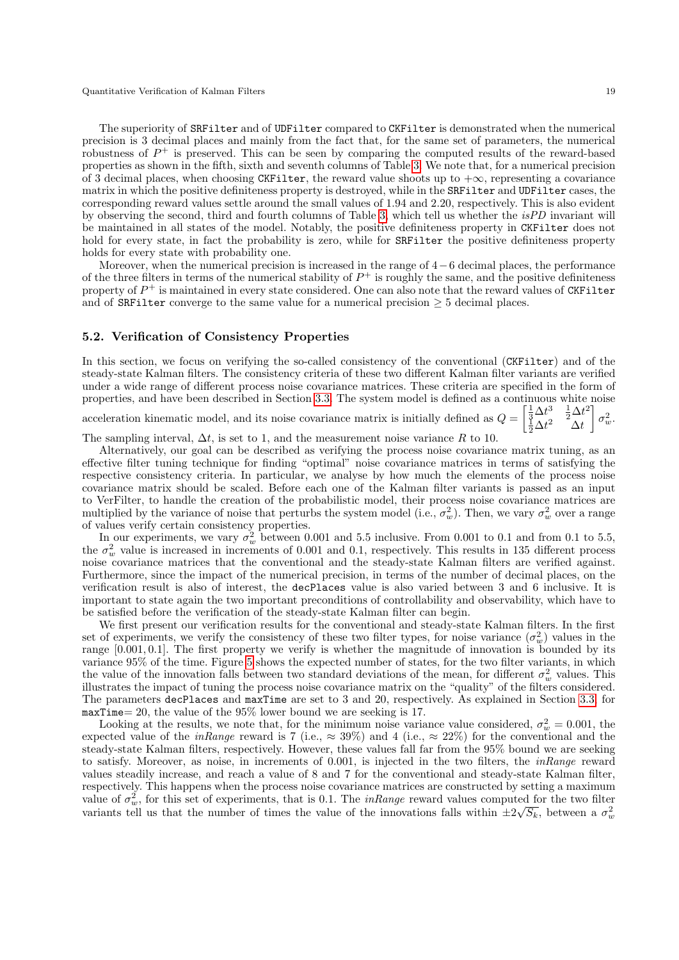Quantitative Verification of Kalman Filters 19

The superiority of SRFilter and of UDFilter compared to CKFilter is demonstrated when the numerical precision is 3 decimal places and mainly from the fact that, for the same set of parameters, the numerical robustness of  $P^+$  is preserved. This can be seen by comparing the computed results of the reward-based properties as shown in the fifth, sixth and seventh columns of Table [3.](#page-18-0) We note that, for a numerical precision of 3 decimal places, when choosing CKFilter, the reward value shoots up to  $+\infty$ , representing a covariance matrix in which the positive definiteness property is destroyed, while in the SRFilter and UDFilter cases, the corresponding reward values settle around the small values of 1.94 and 2.20, respectively. This is also evident by observing the second, third and fourth columns of Table [3,](#page-18-0) which tell us whether the isPD invariant will be maintained in all states of the model. Notably, the positive definiteness property in CKFilter does not hold for every state, in fact the probability is zero, while for SRFilter the positive definiteness property holds for every state with probability one.

Moreover, when the numerical precision is increased in the range of  $4-6$  decimal places, the performance of the three filters in terms of the numerical stability of  $P^+$  is roughly the same, and the positive definiteness property of  $P^+$  is maintained in every state considered. One can also note that the reward values of CKFilter and of SRFilter converge to the same value for a numerical precision  $\geq$  5 decimal places.

#### 5.2. Verification of Consistency Properties

In this section, we focus on verifying the so-called consistency of the conventional (CKFilter) and of the steady-state Kalman filters. The consistency criteria of these two different Kalman filter variants are verified under a wide range of different process noise covariance matrices. These criteria are specified in the form of properties, and have been described in Section [3.3.](#page-12-1) The system model is defined as a continuous white noise

acceleration kinematic model, and its noise covariance matrix is initially defined as  $Q = \begin{bmatrix} \frac{1}{3} \Delta t^3 & \frac{1}{2} \Delta t^2 \\ \frac{1}{3} \Delta t^2 & \Delta t \end{bmatrix}$  $\frac{1}{2}\Delta t^2$   $\Delta t$  $\Big\} \sigma_w^2.$ 

The sampling interval,  $\Delta t$ , is set to 1, and the measurement noise variance R to 10.

Alternatively, our goal can be described as verifying the process noise covariance matrix tuning, as an effective filter tuning technique for finding "optimal" noise covariance matrices in terms of satisfying the respective consistency criteria. In particular, we analyse by how much the elements of the process noise covariance matrix should be scaled. Before each one of the Kalman filter variants is passed as an input to VerFilter, to handle the creation of the probabilistic model, their process noise covariance matrices are multiplied by the variance of noise that perturbs the system model (i.e.,  $\sigma_w^2$ ). Then, we vary  $\sigma_w^2$  over a range of values verify certain consistency properties.

In our experiments, we vary  $\sigma_w^2$  between 0.001 and 5.5 inclusive. From 0.001 to 0.1 and from 0.1 to 5.5, the  $\sigma_w^2$  value is increased in increments of 0.001 and 0.1, respectively. This results in 135 different process noise covariance matrices that the conventional and the steady-state Kalman filters are verified against. Furthermore, since the impact of the numerical precision, in terms of the number of decimal places, on the verification result is also of interest, the decPlaces value is also varied between 3 and 6 inclusive. It is important to state again the two important preconditions of controllability and observability, which have to be satisfied before the verification of the steady-state Kalman filter can begin.

We first present our verification results for the conventional and steady-state Kalman filters. In the first set of experiments, we verify the consistency of these two filter types, for noise variance  $(\sigma_w^2)$  values in the range [0.001, 0.1]. The first property we verify is whether the magnitude of innovation is bounded by its variance 95% of the time. Figure [5](#page-20-0) shows the expected number of states, for the two filter variants, in which the value of the innovation falls between two standard deviations of the mean, for different  $\sigma_w^2$  values. This illustrates the impact of tuning the process noise covariance matrix on the "quality" of the filters considered. The parameters decPlaces and maxTime are set to 3 and 20, respectively. As explained in Section [3.3,](#page-12-1) for maxTime= 20, the value of the 95% lower bound we are seeking is 17.

Looking at the results, we note that, for the minimum noise variance value considered,  $\sigma_w^2 = 0.001$ , the expected value of the *inRange* reward is 7 (i.e.,  $\approx 39\%$ ) and 4 (i.e.,  $\approx 22\%$ ) for the conventional and the steady-state Kalman filters, respectively. However, these values fall far from the 95% bound we are seeking to satisfy. Moreover, as noise, in increments of 0.001, is injected in the two filters, the inRange reward values steadily increase, and reach a value of 8 and 7 for the conventional and steady-state Kalman filter, respectively. This happens when the process noise covariance matrices are constructed by setting a maximum value of  $\sigma_w^2$ , for this set of experiments, that is 0.1. The *inRange* reward values computed for the two filter variants tell us that the number of times the value of the innovations falls within  $\pm 2\sqrt{S_k}$ , between a  $\sigma_w^2$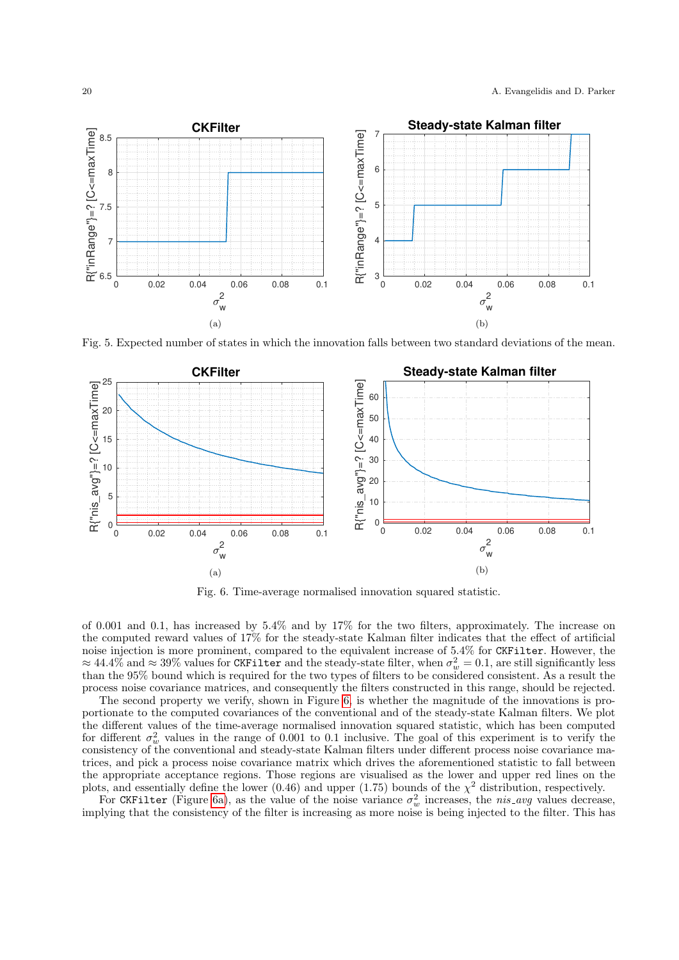<span id="page-20-0"></span>

Fig. 5. Expected number of states in which the innovation falls between two standard deviations of the mean.

<span id="page-20-1"></span>

Fig. 6. Time-average normalised innovation squared statistic.

of 0.001 and 0.1, has increased by 5.4% and by 17% for the two filters, approximately. The increase on the computed reward values of 17% for the steady-state Kalman filter indicates that the effect of artificial noise injection is more prominent, compared to the equivalent increase of 5.4% for CKFilter. However, the  $\approx 44.4\%$  and  $\approx 39\%$  values for CKFilter and the steady-state filter, when  $\sigma_w^2 = 0.1$ , are still significantly less than the 95% bound which is required for the two types of filters to be considered consistent. As a result the process noise covariance matrices, and consequently the filters constructed in this range, should be rejected.

The second property we verify, shown in Figure [6,](#page-20-1) is whether the magnitude of the innovations is proportionate to the computed covariances of the conventional and of the steady-state Kalman filters. We plot the different values of the time-average normalised innovation squared statistic, which has been computed for different  $\sigma_w^2$  values in the range of 0.001 to 0.1 inclusive. The goal of this experiment is to verify the consistency of the conventional and steady-state Kalman filters under different process noise covariance matrices, and pick a process noise covariance matrix which drives the aforementioned statistic to fall between the appropriate acceptance regions. Those regions are visualised as the lower and upper red lines on the plots, and essentially define the lower (0.46) and upper (1.75) bounds of the  $\chi^2$  distribution, respectively.

For CKFilter (Figure [6a\)](#page-20-1), as the value of the noise variance  $\sigma_w^2$  increases, the *nis\_avg* values decrease, implying that the consistency of the filter is increasing as more noise is being injected to the filter. This has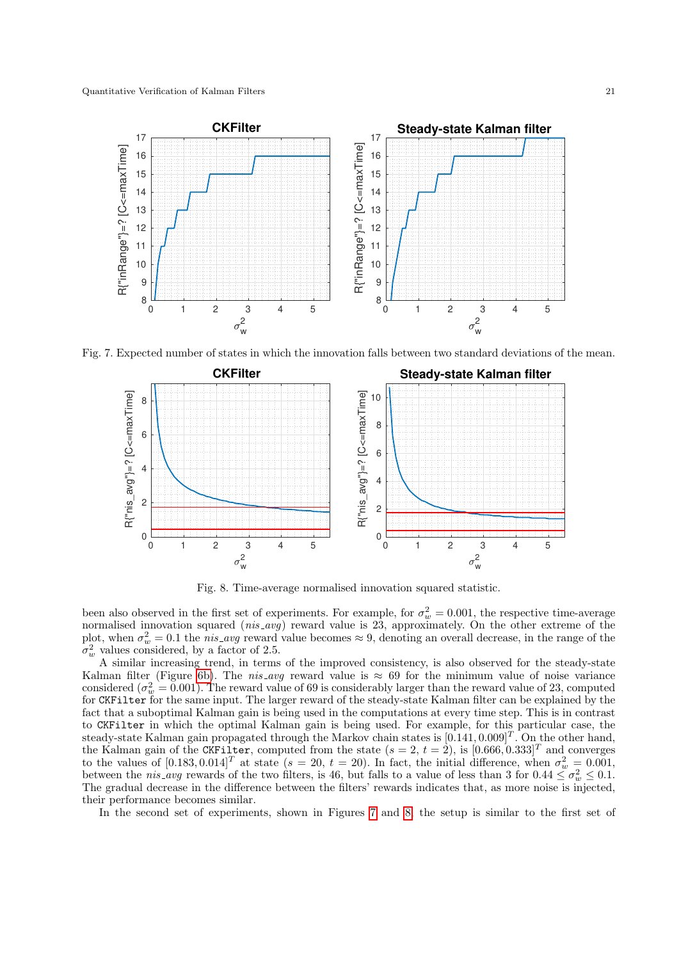<span id="page-21-0"></span>

<span id="page-21-1"></span>Fig. 7. Expected number of states in which the innovation falls between two standard deviations of the mean.



Fig. 8. Time-average normalised innovation squared statistic.

been also observed in the first set of experiments. For example, for  $\sigma_w^2 = 0.001$ , the respective time-average normalised innovation squared  $(nis \, avg)$  reward value is 23, approximately. On the other extreme of the plot, when  $\sigma_w^2 = 0.1$  the nis\_avg reward value becomes  $\approx 9$ , denoting an overall decrease, in the range of the  $\sigma_w^2$  values considered, by a factor of 2.5.

A similar increasing trend, in terms of the improved consistency, is also observed for the steady-state Kalman filter (Figure [6b\)](#page-20-1). The *nis\_avg* reward value is  $\approx 69$  for the minimum value of noise variance considered  $(\sigma_w^2 = 0.001)$ . The reward value of 69 is considerably larger than the reward value of 23, computed for CKFilter for the same input. The larger reward of the steady-state Kalman filter can be explained by the fact that a suboptimal Kalman gain is being used in the computations at every time step. This is in contrast to CKFilter in which the optimal Kalman gain is being used. For example, for this particular case, the steady-state Kalman gain propagated through the Markov chain states is  $[0.141, 0.009]^T$ . On the other hand, the Kalman gain of the CKFilter, computed from the state  $(s = 2, t = 2)$ , is  $[0.666, 0.333]^T$  and converges to the values of  $[0.183, 0.014]^T$  at state  $(s = 20, t = 20)$ . In fact, the initial difference, when  $\sigma_w^2 = 0.001$ , between the *nis avg* rewards of the two filters, is 46, but falls to a value of less than 3 for  $0.44 \leq \sigma_w^2 \leq 0.1$ . The gradual decrease in the difference between the filters' rewards indicates that, as more noise is injected, their performance becomes similar.

In the second set of experiments, shown in Figures [7](#page-21-0) and [8,](#page-21-1) the setup is similar to the first set of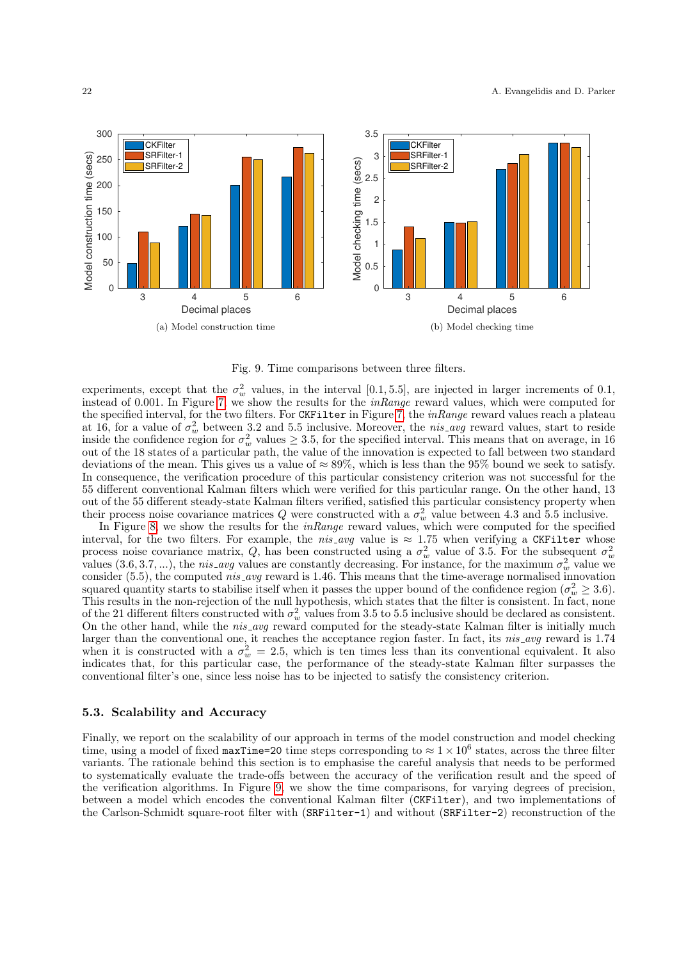<span id="page-22-1"></span>

Fig. 9. Time comparisons between three filters.

experiments, except that the  $\sigma_w^2$  values, in the interval [0.1, 5.5], are injected in larger increments of 0.1, instead of 0.001. In Figure [7,](#page-21-0) we show the results for the *inRange* reward values, which were computed for the specified interval, for the two filters. For CKFilter in Figure [7,](#page-21-0) the *inRange* reward values reach a plateau at 16, for a value of  $\sigma_w^2$  between 3.2 and 5.5 inclusive. Moreover, the *nis avg* reward values, start to reside inside the confidence region for  $\sigma_w^2$  values  $\geq 3.5$ , for the specified interval. This means that on average, in 16 out of the 18 states of a particular path, the value of the innovation is expected to fall between two standard deviations of the mean. This gives us a value of  $\approx 89\%$ , which is less than the 95% bound we seek to satisfy. In consequence, the verification procedure of this particular consistency criterion was not successful for the 55 different conventional Kalman filters which were verified for this particular range. On the other hand, 13 out of the 55 different steady-state Kalman filters verified, satisfied this particular consistency property when their process noise covariance matrices Q were constructed with a  $\sigma_w^2$  value between 4.3 and 5.5 inclusive.

In Figure [8,](#page-21-1) we show the results for the *inRange* reward values, which were computed for the specified interval, for the two filters. For example, the nis\_avg value is  $\approx 1.75$  when verifying a CKFilter whose process noise covariance matrix, Q, has been constructed using a  $\sigma_w^2$  value of 3.5. For the subsequent  $\sigma_w^2$ values  $(3.6, 3.7, \ldots)$ , the nis *avg* values are constantly decreasing. For instance, for the maximum  $\sigma_w^2$  value we consider (5.5), the computed nis avg reward is 1.46. This means that the time-average normalised innovation squared quantity starts to stabilise itself when it passes the upper bound of the confidence region ( $\sigma_w^2 \ge 3.6$ ). This results in the non-rejection of the null hypothesis, which states that the filter is consistent. In fact, none of the 21 different filters constructed with  $\sigma_w^2$  values from 3.5 to 5.5 inclusive should be declared as consistent. On the other hand, while the *nis\_avg* reward computed for the steady-state Kalman filter is initially much larger than the conventional one, it reaches the acceptance region faster. In fact, its *nis\_avg* reward is 1.74 when it is constructed with a  $\sigma_w^2 = 2.5$ , which is ten times less than its conventional equivalent. It also indicates that, for this particular case, the performance of the steady-state Kalman filter surpasses the conventional filter's one, since less noise has to be injected to satisfy the consistency criterion.

#### <span id="page-22-0"></span>5.3. Scalability and Accuracy

Finally, we report on the scalability of our approach in terms of the model construction and model checking time, using a model of fixed maxTime=20 time steps corresponding to  $\approx 1 \times 10^6$  states, across the three filter variants. The rationale behind this section is to emphasise the careful analysis that needs to be performed to systematically evaluate the trade-offs between the accuracy of the verification result and the speed of the verification algorithms. In Figure [9,](#page-22-1) we show the time comparisons, for varying degrees of precision, between a model which encodes the conventional Kalman filter (CKFilter), and two implementations of the Carlson-Schmidt square-root filter with (SRFilter-1) and without (SRFilter-2) reconstruction of the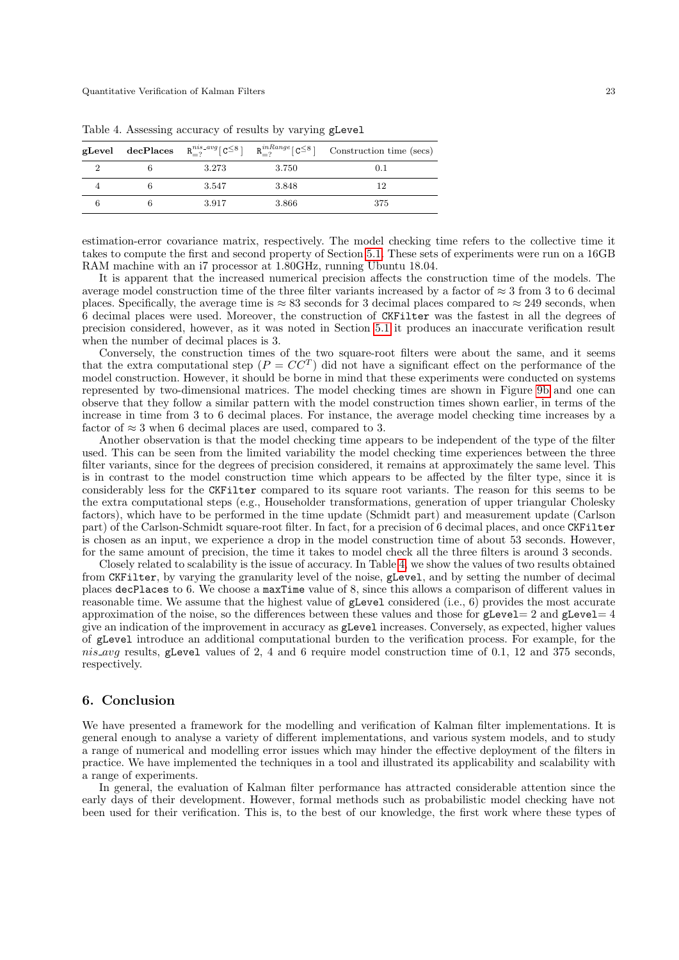|  | gLevel decPlaces $R_{=?}^{nis\_avg}$ [C <sup><math>\leq 8</math></sup> ] $R_{=?}^{inRange}$ [C <sup><math>\leq 8</math></sup> ] |       | Construction time (secs) |
|--|---------------------------------------------------------------------------------------------------------------------------------|-------|--------------------------|
|  | 3.273                                                                                                                           | 3.750 | 0.1                      |
|  | 3.547                                                                                                                           | 3.848 | 12                       |
|  | 3.917                                                                                                                           | 3.866 | 375                      |

<span id="page-23-0"></span>Table 4. Assessing accuracy of results by varying gLevel

estimation-error covariance matrix, respectively. The model checking time refers to the collective time it takes to compute the first and second property of Section [5.1.](#page-15-0) These sets of experiments were run on a 16GB RAM machine with an i7 processor at 1.80GHz, running Ubuntu 18.04.

It is apparent that the increased numerical precision affects the construction time of the models. The average model construction time of the three filter variants increased by a factor of  $\approx 3$  from 3 to 6 decimal places. Specifically, the average time is  $\approx 83$  seconds for 3 decimal places compared to  $\approx 249$  seconds, when 6 decimal places were used. Moreover, the construction of CKFilter was the fastest in all the degrees of precision considered, however, as it was noted in Section [5.1](#page-15-0) it produces an inaccurate verification result when the number of decimal places is 3.

Conversely, the construction times of the two square-root filters were about the same, and it seems that the extra computational step  $(P = CC^T)$  did not have a significant effect on the performance of the model construction. However, it should be borne in mind that these experiments were conducted on systems represented by two-dimensional matrices. The model checking times are shown in Figure [9b](#page-22-1) and one can observe that they follow a similar pattern with the model construction times shown earlier, in terms of the increase in time from 3 to 6 decimal places. For instance, the average model checking time increases by a factor of  $\approx 3$  when 6 decimal places are used, compared to 3.

Another observation is that the model checking time appears to be independent of the type of the filter used. This can be seen from the limited variability the model checking time experiences between the three filter variants, since for the degrees of precision considered, it remains at approximately the same level. This is in contrast to the model construction time which appears to be affected by the filter type, since it is considerably less for the CKFilter compared to its square root variants. The reason for this seems to be the extra computational steps (e.g., Householder transformations, generation of upper triangular Cholesky factors), which have to be performed in the time update (Schmidt part) and measurement update (Carlson part) of the Carlson-Schmidt square-root filter. In fact, for a precision of 6 decimal places, and once CKFilter is chosen as an input, we experience a drop in the model construction time of about 53 seconds. However, for the same amount of precision, the time it takes to model check all the three filters is around 3 seconds.

Closely related to scalability is the issue of accuracy. In Table [4,](#page-23-0) we show the values of two results obtained from CKFilter, by varying the granularity level of the noise, gLevel, and by setting the number of decimal places decPlaces to 6. We choose a maxTime value of 8, since this allows a comparison of different values in reasonable time. We assume that the highest value of gLevel considered (i.e., 6) provides the most accurate approximation of the noise, so the differences between these values and those for  $gLevel = 2$  and  $gLevel = 4$ give an indication of the improvement in accuracy as gLevel increases. Conversely, as expected, higher values of gLevel introduce an additional computational burden to the verification process. For example, for the nis *avg* results, gLevel values of 2, 4 and 6 require model construction time of 0.1, 12 and 375 seconds, respectively.

#### 6. Conclusion

We have presented a framework for the modelling and verification of Kalman filter implementations. It is general enough to analyse a variety of different implementations, and various system models, and to study a range of numerical and modelling error issues which may hinder the effective deployment of the filters in practice. We have implemented the techniques in a tool and illustrated its applicability and scalability with a range of experiments.

In general, the evaluation of Kalman filter performance has attracted considerable attention since the early days of their development. However, formal methods such as probabilistic model checking have not been used for their verification. This is, to the best of our knowledge, the first work where these types of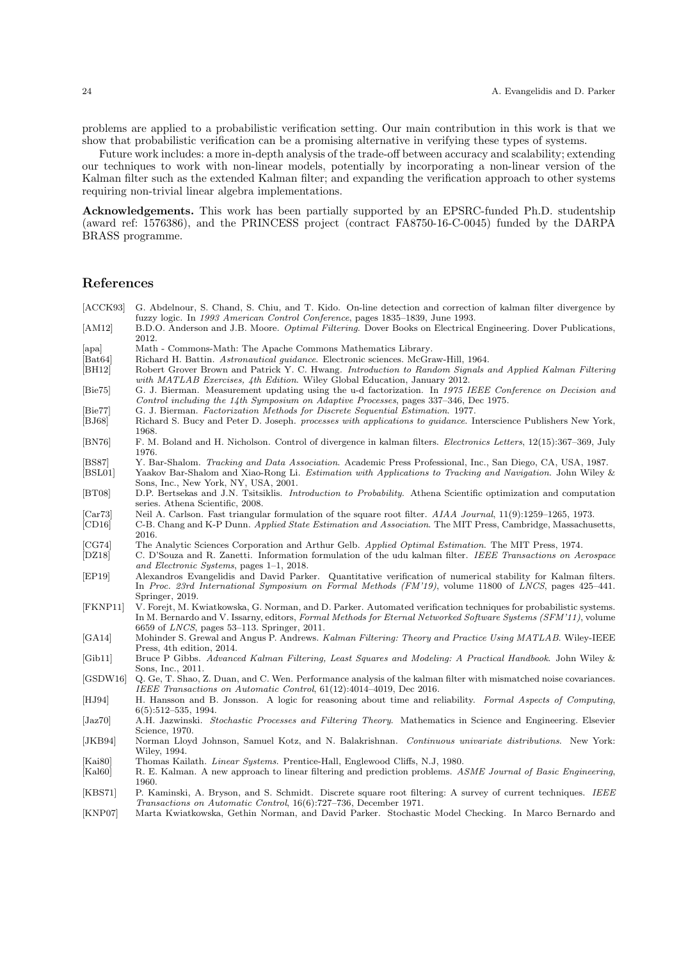problems are applied to a probabilistic verification setting. Our main contribution in this work is that we show that probabilistic verification can be a promising alternative in verifying these types of systems.

Future work includes: a more in-depth analysis of the trade-off between accuracy and scalability; extending our techniques to work with non-linear models, potentially by incorporating a non-linear version of the Kalman filter such as the extended Kalman filter; and expanding the verification approach to other systems requiring non-trivial linear algebra implementations.

Acknowledgements. This work has been partially supported by an EPSRC-funded Ph.D. studentship (award ref: 1576386), and the PRINCESS project (contract FA8750-16-C-0045) funded by the DARPA BRASS programme.

#### References

<span id="page-24-27"></span><span id="page-24-26"></span><span id="page-24-25"></span><span id="page-24-24"></span><span id="page-24-23"></span><span id="page-24-22"></span><span id="page-24-21"></span><span id="page-24-20"></span><span id="page-24-19"></span><span id="page-24-18"></span><span id="page-24-17"></span><span id="page-24-16"></span><span id="page-24-15"></span><span id="page-24-14"></span><span id="page-24-13"></span><span id="page-24-12"></span><span id="page-24-11"></span><span id="page-24-10"></span><span id="page-24-9"></span><span id="page-24-8"></span><span id="page-24-7"></span><span id="page-24-6"></span><span id="page-24-5"></span><span id="page-24-4"></span><span id="page-24-3"></span><span id="page-24-2"></span><span id="page-24-1"></span><span id="page-24-0"></span>

| [ACCK93]                     | G. Abdelnour, S. Chand, S. Chiu, and T. Kido. On-line detection and correction of kalman filter divergence by<br>fuzzy logic. In 1993 American Control Conference, pages 1835–1839, June 1993.                                                                                                                |
|------------------------------|---------------------------------------------------------------------------------------------------------------------------------------------------------------------------------------------------------------------------------------------------------------------------------------------------------------|
| [AM12]                       | B.D.O. Anderson and J.B. Moore. <i>Optimal Filtering</i> . Dover Books on Electrical Engineering. Dover Publications,<br>2012.                                                                                                                                                                                |
| apa                          | Math - Commons-Math: The Apache Commons Mathematics Library.                                                                                                                                                                                                                                                  |
| $[\text{Bat64}]$             | Richard H. Battin. Astronautical quidance. Electronic sciences. McGraw-Hill, 1964.                                                                                                                                                                                                                            |
| BH12                         | Robert Grover Brown and Patrick Y. C. Hwang. Introduction to Random Signals and Applied Kalman Filtering<br>with MATLAB Exercises, 4th Edition. Wiley Global Education, January 2012.                                                                                                                         |
| [Bie75]                      | G. J. Bierman. Measurement updating using the u-d factorization. In 1975 IEEE Conference on Decision and<br>Control including the $14$ th Symposium on Adaptive Processes, pages 337–346, Dec 1975.                                                                                                           |
| Bie77                        | G. J. Bierman. Factorization Methods for Discrete Sequential Estimation. 1977.                                                                                                                                                                                                                                |
| [BJ68]                       | Richard S. Bucy and Peter D. Joseph. processes with applications to quidance. Interscience Publishers New York,<br>1968.                                                                                                                                                                                      |
| [BN76]                       | F. M. Boland and H. Nicholson. Control of divergence in kalman filters. <i>Electronics Letters</i> , 12(15):367–369, July<br>1976.                                                                                                                                                                            |
| [BS87]                       | Y. Bar-Shalom. <i>Tracking and Data Association</i> . Academic Press Professional, Inc., San Diego, CA, USA, 1987.                                                                                                                                                                                            |
| $ {\rm BSL}01 $              | Yaakov Bar-Shalom and Xiao-Rong Li. Estimation with Applications to Tracking and Navigation. John Wiley &<br>Sons, Inc., New York, NY, USA, 2001.                                                                                                                                                             |
| [BT08]                       | D.P. Bertsekas and J.N. Tsitsiklis. <i>Introduction to Probability</i> . Athena Scientific optimization and computation<br>series. Athena Scientific, 2008.                                                                                                                                                   |
| $ {\rm Car73} $              | Neil A. Carlson. Fast triangular formulation of the square root filter. AIAA Journal, 11(9):1259–1265, 1973.                                                                                                                                                                                                  |
| [CD16]                       | C-B. Chang and K-P Dunn. Applied State Estimation and Association. The MIT Press, Cambridge, Massachusetts,<br>2016.                                                                                                                                                                                          |
| [CG74]                       | The Analytic Sciences Corporation and Arthur Gelb. Applied Optimal Estimation. The MIT Press, 1974.                                                                                                                                                                                                           |
| $\left[ \text{DZ18} \right]$ | C. D'Souza and R. Zanetti. Information formulation of the udu kalman filter. IEEE Transactions on Aerospace<br>and Electronic Systems, pages 1–1, 2018.                                                                                                                                                       |
| [EP19]                       | Alexandros Evangelidis and David Parker. Quantitative verification of numerical stability for Kalman filters.<br>In Proc. 23rd International Symposium on Formal Methods (FM'19), volume 11800 of LNCS, pages 425-441.                                                                                        |
| [FKNP11]                     | Springer, 2019.<br>V. Forejt, M. Kwiatkowska, G. Norman, and D. Parker. Automated verification techniques for probabilistic systems.<br>In M. Bernardo and V. Issarny, editors, Formal Methods for Eternal Networked Software Systems (SFM'11), volume<br>6659 of <i>LNCS</i> , pages 53–113. Springer, 2011. |
| [GA14]                       | Mohinder S. Grewal and Angus P. Andrews. Kalman Filtering: Theory and Practice Using MATLAB. Wiley-IEEE<br>Press, 4th edition, 2014.                                                                                                                                                                          |
| [Gib11]                      | Bruce P Gibbs. Advanced Kalman Filtering, Least Squares and Modeling: A Practical Handbook. John Wiley &<br>Sons, Inc., 2011.                                                                                                                                                                                 |
| [GSDW16]                     | Q. Ge, T. Shao, Z. Duan, and C. Wen. Performance analysis of the kalman filter with mismatched noise covariances.<br>IEEE Transactions on Automatic Control, $61(12)$ :4014-4019, Dec 2016.                                                                                                                   |
| HJ94                         | H. Hansson and B. Jonsson. A logic for reasoning about time and reliability. Formal Aspects of Computing,<br>$6(5):512-535, 1994.$                                                                                                                                                                            |
| $ {\rm Jac}70 $              | A.H. Jazwinski. Stochastic Processes and Filtering Theory. Mathematics in Science and Engineering. Elsevier<br>Science, 1970.                                                                                                                                                                                 |
| [JKB94]                      | Norman Lloyd Johnson, Samuel Kotz, and N. Balakrishnan. Continuous univariate distributions. New York:<br>Wiley, 1994.                                                                                                                                                                                        |
| [Kai80]                      | Thomas Kailath. <i>Linear Systems</i> . Prentice-Hall, Englewood Cliffs, N.J, 1980.                                                                                                                                                                                                                           |
| [Kal60]                      | R. E. Kalman. A new approach to linear filtering and prediction problems. ASME Journal of Basic Engineering,<br>1960.                                                                                                                                                                                         |
| KBS71                        | P. Kaminski, A. Bryson, and S. Schmidt. Discrete square root filtering: A survey of current techniques. IEEE<br>Transactions on Automatic Control, 16(6):727–736, December 1971.                                                                                                                              |
| [KNP07]                      | Marta Kwiatkowska, Gethin Norman, and David Parker. Stochastic Model Checking. In Marco Bernardo and                                                                                                                                                                                                          |